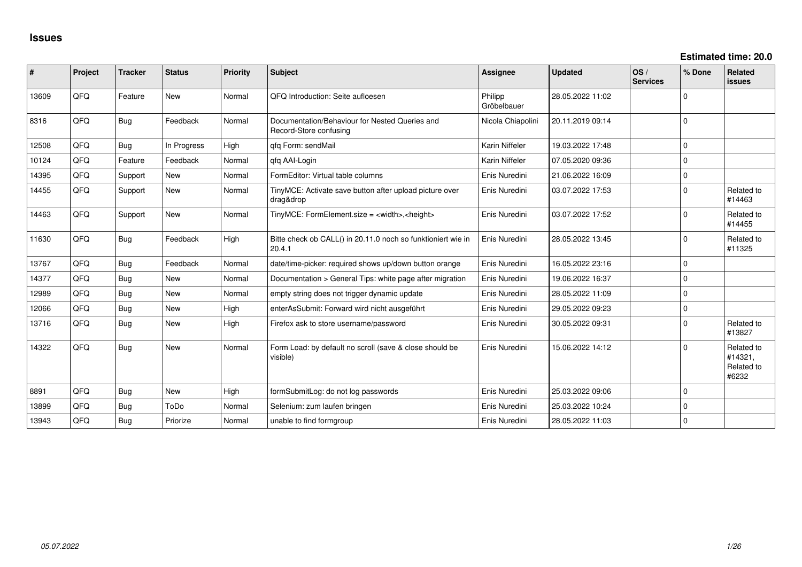| ∣#    | Project | <b>Tracker</b> | <b>Status</b> | <b>Priority</b> | <b>Subject</b>                                                           | <b>Assignee</b>        | <b>Updated</b>   | OS/<br><b>Services</b> | % Done   | Related<br><b>issues</b>                     |
|-------|---------|----------------|---------------|-----------------|--------------------------------------------------------------------------|------------------------|------------------|------------------------|----------|----------------------------------------------|
| 13609 | QFQ     | Feature        | <b>New</b>    | Normal          | QFQ Introduction: Seite aufloesen                                        | Philipp<br>Gröbelbauer | 28.05.2022 11:02 |                        | U        |                                              |
| 8316  | QFQ     | <b>Bug</b>     | Feedback      | Normal          | Documentation/Behaviour for Nested Queries and<br>Record-Store confusing | Nicola Chiapolini      | 20.11.2019 09:14 |                        | $\Omega$ |                                              |
| 12508 | QFQ     | <b>Bug</b>     | In Progress   | High            | gfg Form: sendMail                                                       | Karin Niffeler         | 19.03.2022 17:48 |                        | $\Omega$ |                                              |
| 10124 | QFQ     | Feature        | Feedback      | Normal          | gfg AAI-Login                                                            | Karin Niffeler         | 07.05.2020 09:36 |                        | $\Omega$ |                                              |
| 14395 | QFQ     | Support        | New           | Normal          | FormEditor: Virtual table columns                                        | Enis Nuredini          | 21.06.2022 16:09 |                        | $\Omega$ |                                              |
| 14455 | QFQ     | Support        | <b>New</b>    | Normal          | TinyMCE: Activate save button after upload picture over<br>drag&drop     | Enis Nuredini          | 03.07.2022 17:53 |                        | 0        | Related to<br>#14463                         |
| 14463 | QFQ     | Support        | <b>New</b>    | Normal          | TinyMCE: FormElement.size = <width>,<height></height></width>            | Enis Nuredini          | 03.07.2022 17:52 |                        | $\Omega$ | Related to<br>#14455                         |
| 11630 | QFQ     | Bug            | Feedback      | High            | Bitte check ob CALL() in 20.11.0 noch so funktioniert wie in<br>20.4.1   | Enis Nuredini          | 28.05.2022 13:45 |                        | $\Omega$ | Related to<br>#11325                         |
| 13767 | QFQ     | <b>Bug</b>     | Feedback      | Normal          | date/time-picker: required shows up/down button orange                   | Enis Nuredini          | 16.05.2022 23:16 |                        | $\Omega$ |                                              |
| 14377 | QFQ     | <b>Bug</b>     | <b>New</b>    | Normal          | Documentation > General Tips: white page after migration                 | Enis Nuredini          | 19.06.2022 16:37 |                        | $\Omega$ |                                              |
| 12989 | QFQ     | <b>Bug</b>     | <b>New</b>    | Normal          | empty string does not trigger dynamic update                             | Enis Nuredini          | 28.05.2022 11:09 |                        | $\Omega$ |                                              |
| 12066 | QFQ     | <b>Bug</b>     | <b>New</b>    | High            | enterAsSubmit: Forward wird nicht ausgeführt                             | Enis Nuredini          | 29.05.2022 09:23 |                        | $\Omega$ |                                              |
| 13716 | QFQ     | Bug            | <b>New</b>    | High            | Firefox ask to store username/password                                   | Enis Nuredini          | 30.05.2022 09:31 |                        | U        | Related to<br>#13827                         |
| 14322 | QFQ     | <b>Bug</b>     | New           | Normal          | Form Load: by default no scroll (save & close should be<br>visible)      | Enis Nuredini          | 15.06.2022 14:12 |                        | U        | Related to<br>#14321.<br>Related to<br>#6232 |
| 8891  | QFQ     | <b>Bug</b>     | <b>New</b>    | High            | formSubmitLog: do not log passwords                                      | Enis Nuredini          | 25.03.2022 09:06 |                        | 0        |                                              |
| 13899 | QFQ     | <b>Bug</b>     | ToDo          | Normal          | Selenium: zum laufen bringen                                             | Enis Nuredini          | 25.03.2022 10:24 |                        | U        |                                              |
| 13943 | QFQ     | Bug            | Priorize      | Normal          | unable to find formgroup                                                 | Enis Nuredini          | 28.05.2022 11:03 |                        | U        |                                              |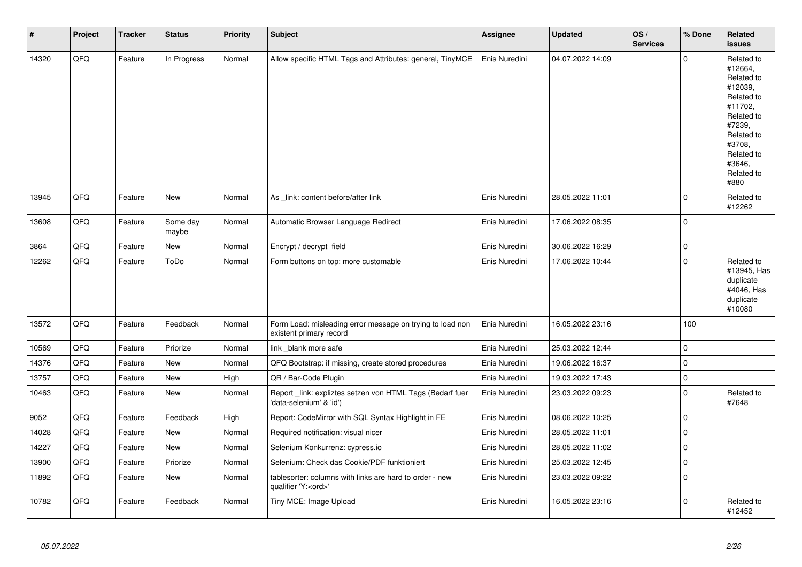| $\vert$ # | Project        | <b>Tracker</b> | <b>Status</b>     | <b>Priority</b> | <b>Subject</b>                                                                        | <b>Assignee</b> | <b>Updated</b>   | OS/<br><b>Services</b> | % Done      | Related<br><b>issues</b>                                                                                                                                              |
|-----------|----------------|----------------|-------------------|-----------------|---------------------------------------------------------------------------------------|-----------------|------------------|------------------------|-------------|-----------------------------------------------------------------------------------------------------------------------------------------------------------------------|
| 14320     | QFQ            | Feature        | In Progress       | Normal          | Allow specific HTML Tags and Attributes: general, TinyMCE                             | Enis Nuredini   | 04.07.2022 14:09 |                        | $\Omega$    | Related to<br>#12664,<br>Related to<br>#12039,<br>Related to<br>#11702,<br>Related to<br>#7239,<br>Related to<br>#3708,<br>Related to<br>#3646.<br>Related to<br>#880 |
| 13945     | QFQ            | Feature        | <b>New</b>        | Normal          | As link: content before/after link                                                    | Enis Nuredini   | 28.05.2022 11:01 |                        | $\mathbf 0$ | Related to<br>#12262                                                                                                                                                  |
| 13608     | QFQ            | Feature        | Some day<br>maybe | Normal          | Automatic Browser Language Redirect                                                   | Enis Nuredini   | 17.06.2022 08:35 |                        | $\mathbf 0$ |                                                                                                                                                                       |
| 3864      | QFQ            | Feature        | <b>New</b>        | Normal          | Encrypt / decrypt field                                                               | Enis Nuredini   | 30.06.2022 16:29 |                        | $\mathbf 0$ |                                                                                                                                                                       |
| 12262     | QFQ            | Feature        | ToDo              | Normal          | Form buttons on top: more customable                                                  | Enis Nuredini   | 17.06.2022 10:44 |                        | $\mathbf 0$ | Related to<br>#13945, Has<br>duplicate<br>#4046, Has<br>duplicate<br>#10080                                                                                           |
| 13572     | QFQ            | Feature        | Feedback          | Normal          | Form Load: misleading error message on trying to load non<br>existent primary record  | Enis Nuredini   | 16.05.2022 23:16 |                        | 100         |                                                                                                                                                                       |
| 10569     | QFQ            | Feature        | Priorize          | Normal          | link blank more safe                                                                  | Enis Nuredini   | 25.03.2022 12:44 |                        | $\mathbf 0$ |                                                                                                                                                                       |
| 14376     | QFQ            | Feature        | New               | Normal          | QFQ Bootstrap: if missing, create stored procedures                                   | Enis Nuredini   | 19.06.2022 16:37 |                        | $\mathbf 0$ |                                                                                                                                                                       |
| 13757     | QFQ            | Feature        | <b>New</b>        | High            | QR / Bar-Code Plugin                                                                  | Enis Nuredini   | 19.03.2022 17:43 |                        | $\mathbf 0$ |                                                                                                                                                                       |
| 10463     | QFQ            | Feature        | New               | Normal          | Report link: expliztes setzen von HTML Tags (Bedarf fuer<br>'data-selenium' & 'id')   | Enis Nuredini   | 23.03.2022 09:23 |                        | $\mathbf 0$ | Related to<br>#7648                                                                                                                                                   |
| 9052      | QFQ            | Feature        | Feedback          | High            | Report: CodeMirror with SQL Syntax Highlight in FE                                    | Enis Nuredini   | 08.06.2022 10:25 |                        | $\mathbf 0$ |                                                                                                                                                                       |
| 14028     | QFQ            | Feature        | <b>New</b>        | Normal          | Required notification: visual nicer                                                   | Enis Nuredini   | 28.05.2022 11:01 |                        | $\mathbf 0$ |                                                                                                                                                                       |
| 14227     | QFQ            | Feature        | <b>New</b>        | Normal          | Selenium Konkurrenz: cypress.io                                                       | Enis Nuredini   | 28.05.2022 11:02 |                        | $\mathbf 0$ |                                                                                                                                                                       |
| 13900     | $\mathsf{QFQ}$ | Feature        | Priorize          | Normal          | Selenium: Check das Cookie/PDF funktioniert                                           | Enis Nuredini   | 25.03.2022 12:45 |                        | $\mathbf 0$ |                                                                                                                                                                       |
| 11892     | QFQ            | Feature        | <b>New</b>        | Normal          | tablesorter: columns with links are hard to order - new<br>qualifier 'Y: <ord>'</ord> | Enis Nuredini   | 23.03.2022 09:22 |                        | $\Omega$    |                                                                                                                                                                       |
| 10782     | QFQ            | Feature        | Feedback          | Normal          | Tiny MCE: Image Upload                                                                | Enis Nuredini   | 16.05.2022 23:16 |                        | $\Omega$    | Related to<br>#12452                                                                                                                                                  |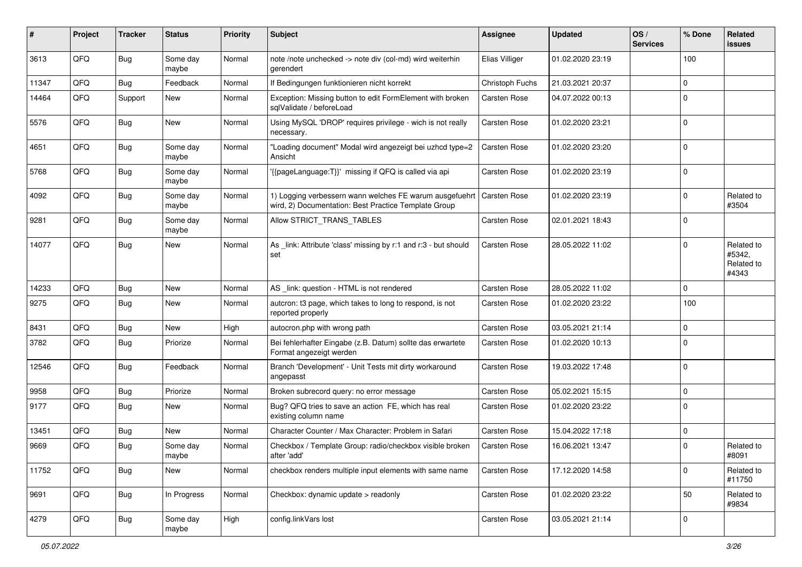| #     | Project | <b>Tracker</b> | <b>Status</b>     | <b>Priority</b> | <b>Subject</b>                                                                                                  | <b>Assignee</b>     | <b>Updated</b>   | OS/<br><b>Services</b> | % Done      | Related<br><b>issues</b>                    |
|-------|---------|----------------|-------------------|-----------------|-----------------------------------------------------------------------------------------------------------------|---------------------|------------------|------------------------|-------------|---------------------------------------------|
| 3613  | QFQ     | <b>Bug</b>     | Some day<br>maybe | Normal          | note /note unchecked -> note div (col-md) wird weiterhin<br>gerendert                                           | Elias Villiger      | 01.02.2020 23:19 |                        | 100         |                                             |
| 11347 | QFQ     | <b>Bug</b>     | Feedback          | Normal          | If Bedingungen funktionieren nicht korrekt                                                                      | Christoph Fuchs     | 21.03.2021 20:37 |                        | $\mathbf 0$ |                                             |
| 14464 | QFQ     | Support        | New               | Normal          | Exception: Missing button to edit FormElement with broken<br>sqlValidate / beforeLoad                           | <b>Carsten Rose</b> | 04.07.2022 00:13 |                        | $\mathbf 0$ |                                             |
| 5576  | QFQ     | <b>Bug</b>     | New               | Normal          | Using MySQL 'DROP' requires privilege - wich is not really<br>necessary.                                        | Carsten Rose        | 01.02.2020 23:21 |                        | $\mathbf 0$ |                                             |
| 4651  | QFQ     | <b>Bug</b>     | Some day<br>maybe | Normal          | "Loading document" Modal wird angezeigt bei uzhcd type=2<br>Ansicht                                             | Carsten Rose        | 01.02.2020 23:20 |                        | $\mathbf 0$ |                                             |
| 5768  | QFQ     | <b>Bug</b>     | Some day<br>maybe | Normal          | {{pageLanguage:T}}' missing if QFQ is called via api                                                            | <b>Carsten Rose</b> | 01.02.2020 23:19 |                        | $\mathbf 0$ |                                             |
| 4092  | QFQ     | <b>Bug</b>     | Some day<br>maybe | Normal          | 1) Logging verbessern wann welches FE warum ausgefuehrt<br>wird, 2) Documentation: Best Practice Template Group | <b>Carsten Rose</b> | 01.02.2020 23:19 |                        | $\mathbf 0$ | Related to<br>#3504                         |
| 9281  | QFQ     | <b>Bug</b>     | Some day<br>maybe | Normal          | Allow STRICT_TRANS_TABLES                                                                                       | <b>Carsten Rose</b> | 02.01.2021 18:43 |                        | $\mathbf 0$ |                                             |
| 14077 | QFQ     | <b>Bug</b>     | New               | Normal          | As _link: Attribute 'class' missing by r:1 and r:3 - but should<br>set                                          | Carsten Rose        | 28.05.2022 11:02 |                        | $\Omega$    | Related to<br>#5342,<br>Related to<br>#4343 |
| 14233 | QFQ     | <b>Bug</b>     | <b>New</b>        | Normal          | AS _link: question - HTML is not rendered                                                                       | <b>Carsten Rose</b> | 28.05.2022 11:02 |                        | $\mathbf 0$ |                                             |
| 9275  | QFQ     | <b>Bug</b>     | New               | Normal          | auteron: t3 page, which takes to long to respond, is not<br>reported properly                                   | Carsten Rose        | 01.02.2020 23:22 |                        | 100         |                                             |
| 8431  | QFQ     | <b>Bug</b>     | New               | High            | autocron.php with wrong path                                                                                    | Carsten Rose        | 03.05.2021 21:14 |                        | $\mathbf 0$ |                                             |
| 3782  | QFQ     | <b>Bug</b>     | Priorize          | Normal          | Bei fehlerhafter Eingabe (z.B. Datum) sollte das erwartete<br>Format angezeigt werden                           | <b>Carsten Rose</b> | 01.02.2020 10:13 |                        | $\mathbf 0$ |                                             |
| 12546 | QFQ     | <b>Bug</b>     | Feedback          | Normal          | Branch 'Development' - Unit Tests mit dirty workaround<br>angepasst                                             | <b>Carsten Rose</b> | 19.03.2022 17:48 |                        | $\mathbf 0$ |                                             |
| 9958  | QFQ     | <b>Bug</b>     | Priorize          | Normal          | Broken subrecord query: no error message                                                                        | <b>Carsten Rose</b> | 05.02.2021 15:15 |                        | $\mathbf 0$ |                                             |
| 9177  | QFQ     | <b>Bug</b>     | New               | Normal          | Bug? QFQ tries to save an action FE, which has real<br>existing column name                                     | <b>Carsten Rose</b> | 01.02.2020 23:22 |                        | $\mathbf 0$ |                                             |
| 13451 | QFQ     | <b>Bug</b>     | <b>New</b>        | Normal          | Character Counter / Max Character: Problem in Safari                                                            | <b>Carsten Rose</b> | 15.04.2022 17:18 |                        | $\mathbf 0$ |                                             |
| 9669  | QFQ     | <b>Bug</b>     | Some day<br>maybe | Normal          | Checkbox / Template Group: radio/checkbox visible broken<br>after add                                           | <b>Carsten Rose</b> | 16.06.2021 13:47 |                        | $\mathbf 0$ | Related to<br>#8091                         |
| 11752 | QFQ     | Bug            | New               | Normal          | checkbox renders multiple input elements with same name                                                         | <b>Carsten Rose</b> | 17.12.2020 14:58 |                        | $\mathbf 0$ | Related to<br>#11750                        |
| 9691  | QFQ     | <b>Bug</b>     | In Progress       | Normal          | Checkbox: dynamic update > readonly                                                                             | Carsten Rose        | 01.02.2020 23:22 |                        | 50          | Related to<br>#9834                         |
| 4279  | QFQ     | <b>Bug</b>     | Some day<br>maybe | High            | config.linkVars lost                                                                                            | Carsten Rose        | 03.05.2021 21:14 |                        | $\mathbf 0$ |                                             |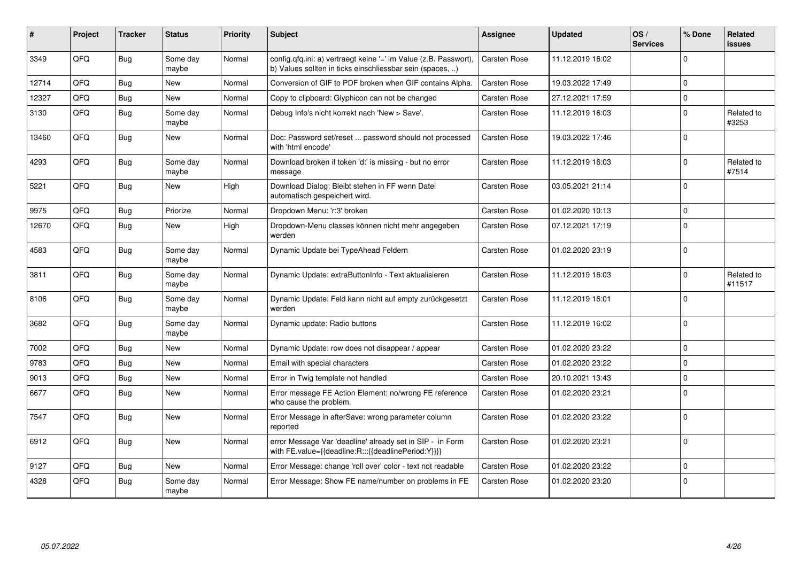| #     | Project | <b>Tracker</b> | <b>Status</b>     | <b>Priority</b> | <b>Subject</b>                                                                                                                | Assignee            | <b>Updated</b>   | OS/<br><b>Services</b> | % Done      | <b>Related</b><br><b>issues</b> |
|-------|---------|----------------|-------------------|-----------------|-------------------------------------------------------------------------------------------------------------------------------|---------------------|------------------|------------------------|-------------|---------------------------------|
| 3349  | QFQ     | <b>Bug</b>     | Some day<br>maybe | Normal          | config.qfq.ini: a) vertraegt keine '=' im Value (z.B. Passwort),<br>b) Values sollten in ticks einschliessbar sein (spaces, ) | <b>Carsten Rose</b> | 11.12.2019 16:02 |                        | $\Omega$    |                                 |
| 12714 | QFQ     | Bug            | <b>New</b>        | Normal          | Conversion of GIF to PDF broken when GIF contains Alpha.                                                                      | <b>Carsten Rose</b> | 19.03.2022 17:49 |                        | $\Omega$    |                                 |
| 12327 | QFQ     | <b>Bug</b>     | <b>New</b>        | Normal          | Copy to clipboard: Glyphicon can not be changed                                                                               | <b>Carsten Rose</b> | 27.12.2021 17:59 |                        | $\mathbf 0$ |                                 |
| 3130  | QFQ     | <b>Bug</b>     | Some day<br>maybe | Normal          | Debug Info's nicht korrekt nach 'New > Save'.                                                                                 | <b>Carsten Rose</b> | 11.12.2019 16:03 |                        | $\Omega$    | Related to<br>#3253             |
| 13460 | QFQ     | <b>Bug</b>     | <b>New</b>        | Normal          | Doc: Password set/reset  password should not processed<br>with 'html encode'                                                  | Carsten Rose        | 19.03.2022 17:46 |                        | $\mathbf 0$ |                                 |
| 4293  | QFQ     | <b>Bug</b>     | Some day<br>maybe | Normal          | Download broken if token 'd:' is missing - but no error<br>message                                                            | <b>Carsten Rose</b> | 11.12.2019 16:03 |                        | $\mathbf 0$ | Related to<br>#7514             |
| 5221  | QFQ     | <b>Bug</b>     | New               | High            | Download Dialog: Bleibt stehen in FF wenn Datei<br>automatisch gespeichert wird.                                              | Carsten Rose        | 03.05.2021 21:14 |                        | $\mathbf 0$ |                                 |
| 9975  | QFQ     | Bug            | Priorize          | Normal          | Dropdown Menu: 'r:3' broken                                                                                                   | Carsten Rose        | 01.02.2020 10:13 |                        | $\Omega$    |                                 |
| 12670 | QFQ     | Bug            | <b>New</b>        | High            | Dropdown-Menu classes können nicht mehr angegeben<br>werden                                                                   | <b>Carsten Rose</b> | 07.12.2021 17:19 |                        | $\mathbf 0$ |                                 |
| 4583  | QFQ     | Bug            | Some day<br>maybe | Normal          | Dynamic Update bei TypeAhead Feldern                                                                                          | Carsten Rose        | 01.02.2020 23:19 |                        | $\mathbf 0$ |                                 |
| 3811  | QFQ     | <b>Bug</b>     | Some day<br>maybe | Normal          | Dynamic Update: extraButtonInfo - Text aktualisieren                                                                          | <b>Carsten Rose</b> | 11.12.2019 16:03 |                        | $\mathbf 0$ | Related to<br>#11517            |
| 8106  | QFQ     | <b>Bug</b>     | Some day<br>maybe | Normal          | Dynamic Update: Feld kann nicht auf empty zurückgesetzt<br>werden                                                             | <b>Carsten Rose</b> | 11.12.2019 16:01 |                        | $\Omega$    |                                 |
| 3682  | QFQ     | <b>Bug</b>     | Some day<br>maybe | Normal          | Dynamic update: Radio buttons                                                                                                 | Carsten Rose        | 11.12.2019 16:02 |                        | $\Omega$    |                                 |
| 7002  | QFQ     | Bug            | New               | Normal          | Dynamic Update: row does not disappear / appear                                                                               | Carsten Rose        | 01.02.2020 23:22 |                        | $\mathbf 0$ |                                 |
| 9783  | QFQ     | Bug            | New               | Normal          | Email with special characters                                                                                                 | <b>Carsten Rose</b> | 01.02.2020 23:22 |                        | $\mathbf 0$ |                                 |
| 9013  | QFQ     | Bug            | <b>New</b>        | Normal          | Error in Twig template not handled                                                                                            | <b>Carsten Rose</b> | 20.10.2021 13:43 |                        | $\pmb{0}$   |                                 |
| 6677  | QFQ     | Bug            | New               | Normal          | Error message FE Action Element: no/wrong FE reference<br>who cause the problem.                                              | <b>Carsten Rose</b> | 01.02.2020 23:21 |                        | $\mathbf 0$ |                                 |
| 7547  | QFQ     | Bug            | New               | Normal          | Error Message in afterSave: wrong parameter column<br>reported                                                                | <b>Carsten Rose</b> | 01.02.2020 23:22 |                        | $\mathbf 0$ |                                 |
| 6912  | QFQ     | <b>Bug</b>     | <b>New</b>        | Normal          | error Message Var 'deadline' already set in SIP - in Form<br>with FE.value={{deadline:R:::{{deadlinePeriod:Y}}}}              | Carsten Rose        | 01.02.2020 23:21 |                        | $\mathbf 0$ |                                 |
| 9127  | QFQ     | Bug            | <b>New</b>        | Normal          | Error Message: change 'roll over' color - text not readable                                                                   | <b>Carsten Rose</b> | 01.02.2020 23:22 |                        | $\mathbf 0$ |                                 |
| 4328  | QFQ     | <b>Bug</b>     | Some day<br>maybe | Normal          | Error Message: Show FE name/number on problems in FE                                                                          | <b>Carsten Rose</b> | 01.02.2020 23:20 |                        | $\mathbf 0$ |                                 |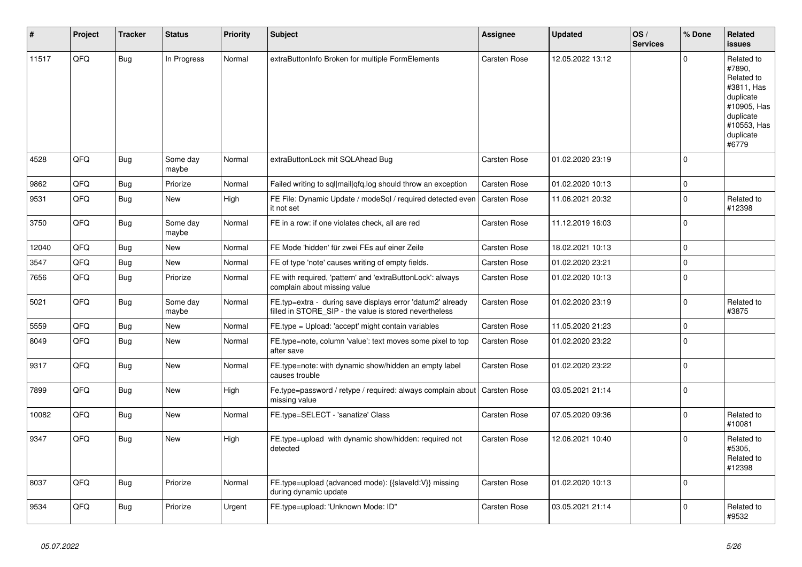| #     | Project | <b>Tracker</b> | <b>Status</b>     | <b>Priority</b> | <b>Subject</b>                                                                                                       | <b>Assignee</b>     | <b>Updated</b>   | OS/<br><b>Services</b> | % Done       | <b>Related</b><br><b>issues</b>                                                                                                |
|-------|---------|----------------|-------------------|-----------------|----------------------------------------------------------------------------------------------------------------------|---------------------|------------------|------------------------|--------------|--------------------------------------------------------------------------------------------------------------------------------|
| 11517 | QFQ     | Bug            | In Progress       | Normal          | extraButtonInfo Broken for multiple FormElements                                                                     | <b>Carsten Rose</b> | 12.05.2022 13:12 |                        | $\Omega$     | Related to<br>#7890,<br>Related to<br>#3811, Has<br>duplicate<br>#10905, Has<br>duplicate<br>#10553, Has<br>duplicate<br>#6779 |
| 4528  | QFQ     | Bug            | Some day<br>maybe | Normal          | extraButtonLock mit SQLAhead Bug                                                                                     | Carsten Rose        | 01.02.2020 23:19 |                        | $\Omega$     |                                                                                                                                |
| 9862  | QFQ     | Bug            | Priorize          | Normal          | Failed writing to sql mail qfq.log should throw an exception                                                         | <b>Carsten Rose</b> | 01.02.2020 10:13 |                        | $\pmb{0}$    |                                                                                                                                |
| 9531  | QFQ     | Bug            | <b>New</b>        | High            | FE File: Dynamic Update / modeSql / required detected even<br>it not set                                             | <b>Carsten Rose</b> | 11.06.2021 20:32 |                        | $\mathbf 0$  | Related to<br>#12398                                                                                                           |
| 3750  | QFQ     | <b>Bug</b>     | Some day<br>maybe | Normal          | FE in a row: if one violates check, all are red                                                                      | <b>Carsten Rose</b> | 11.12.2019 16:03 |                        | $\mathsf 0$  |                                                                                                                                |
| 12040 | QFQ     | Bug            | <b>New</b>        | Normal          | FE Mode 'hidden' für zwei FEs auf einer Zeile                                                                        | Carsten Rose        | 18.02.2021 10:13 |                        | $\mathsf 0$  |                                                                                                                                |
| 3547  | QFQ     | <b>Bug</b>     | <b>New</b>        | Normal          | FE of type 'note' causes writing of empty fields.                                                                    | <b>Carsten Rose</b> | 01.02.2020 23:21 |                        | $\mathbf{0}$ |                                                                                                                                |
| 7656  | QFQ     | <b>Bug</b>     | Priorize          | Normal          | FE with required, 'pattern' and 'extraButtonLock': always<br>complain about missing value                            | Carsten Rose        | 01.02.2020 10:13 |                        | $\mathbf 0$  |                                                                                                                                |
| 5021  | QFQ     | Bug            | Some day<br>maybe | Normal          | FE.typ=extra - during save displays error 'datum2' already<br>filled in STORE_SIP - the value is stored nevertheless | Carsten Rose        | 01.02.2020 23:19 |                        | $\mathbf 0$  | Related to<br>#3875                                                                                                            |
| 5559  | QFQ     | <b>Bug</b>     | New               | Normal          | FE.type = Upload: 'accept' might contain variables                                                                   | <b>Carsten Rose</b> | 11.05.2020 21:23 |                        | $\mathsf 0$  |                                                                                                                                |
| 8049  | QFQ     | <b>Bug</b>     | <b>New</b>        | Normal          | FE.type=note, column 'value': text moves some pixel to top<br>after save                                             | Carsten Rose        | 01.02.2020 23:22 |                        | $\mathbf 0$  |                                                                                                                                |
| 9317  | QFQ     | Bug            | <b>New</b>        | Normal          | FE.type=note: with dynamic show/hidden an empty label<br>causes trouble                                              | Carsten Rose        | 01.02.2020 23:22 |                        | $\Omega$     |                                                                                                                                |
| 7899  | QFQ     | <b>Bug</b>     | <b>New</b>        | High            | Fe.type=password / retype / required: always complain about<br>missing value                                         | Carsten Rose        | 03.05.2021 21:14 |                        | $\mathsf 0$  |                                                                                                                                |
| 10082 | QFQ     | <b>Bug</b>     | New               | Normal          | FE.type=SELECT - 'sanatize' Class                                                                                    | Carsten Rose        | 07.05.2020 09:36 |                        | $\mathbf 0$  | Related to<br>#10081                                                                                                           |
| 9347  | QFQ     | <b>Bug</b>     | New               | High            | FE.type=upload with dynamic show/hidden: required not<br>detected                                                    | <b>Carsten Rose</b> | 12.06.2021 10:40 |                        | $\Omega$     | Related to<br>#5305,<br>Related to<br>#12398                                                                                   |
| 8037  | QFQ     | Bug            | Priorize          | Normal          | FE.type=upload (advanced mode): {{slaveId:V}} missing<br>during dynamic update                                       | <b>Carsten Rose</b> | 01.02.2020 10:13 |                        | $\mathbf 0$  |                                                                                                                                |
| 9534  | QFQ     | <b>Bug</b>     | Priorize          | Urgent          | FE.type=upload: 'Unknown Mode: ID"                                                                                   | Carsten Rose        | 03.05.2021 21:14 |                        | $\Omega$     | Related to<br>#9532                                                                                                            |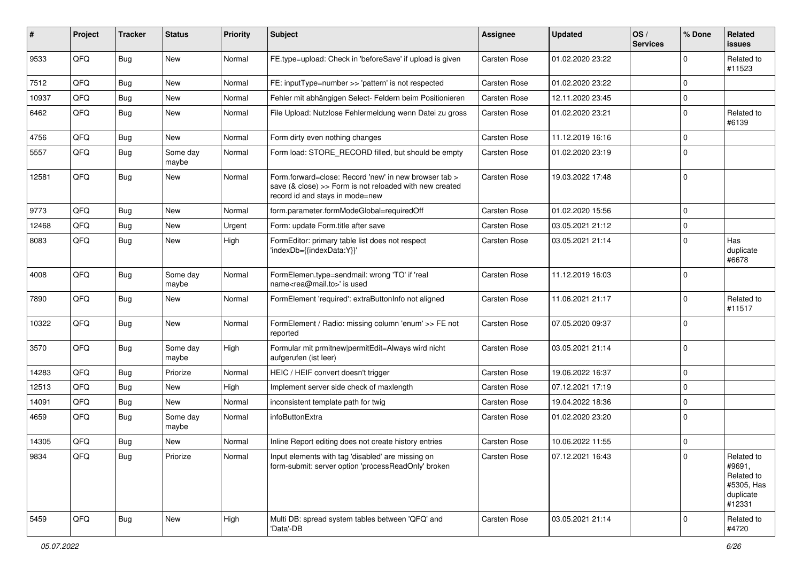| #     | Project | <b>Tracker</b> | <b>Status</b>     | <b>Priority</b> | <b>Subject</b>                                                                                                                                      | <b>Assignee</b>     | <b>Updated</b>   | OS/<br><b>Services</b> | % Done      | Related<br>issues                                                       |
|-------|---------|----------------|-------------------|-----------------|-----------------------------------------------------------------------------------------------------------------------------------------------------|---------------------|------------------|------------------------|-------------|-------------------------------------------------------------------------|
| 9533  | QFQ     | <b>Bug</b>     | <b>New</b>        | Normal          | FE.type=upload: Check in 'beforeSave' if upload is given                                                                                            | Carsten Rose        | 01.02.2020 23:22 |                        | $\Omega$    | Related to<br>#11523                                                    |
| 7512  | QFQ     | <b>Bug</b>     | <b>New</b>        | Normal          | FE: inputType=number >> 'pattern' is not respected                                                                                                  | <b>Carsten Rose</b> | 01.02.2020 23:22 |                        | $\mathbf 0$ |                                                                         |
| 10937 | QFQ     | Bug            | New               | Normal          | Fehler mit abhängigen Select- Feldern beim Positionieren                                                                                            | <b>Carsten Rose</b> | 12.11.2020 23:45 |                        | $\mathbf 0$ |                                                                         |
| 6462  | QFQ     | <b>Bug</b>     | New               | Normal          | File Upload: Nutzlose Fehlermeldung wenn Datei zu gross                                                                                             | <b>Carsten Rose</b> | 01.02.2020 23:21 |                        | $\mathbf 0$ | Related to<br>#6139                                                     |
| 4756  | QFQ     | <b>Bug</b>     | New               | Normal          | Form dirty even nothing changes                                                                                                                     | <b>Carsten Rose</b> | 11.12.2019 16:16 |                        | $\mathbf 0$ |                                                                         |
| 5557  | QFQ     | <b>Bug</b>     | Some day<br>maybe | Normal          | Form load: STORE_RECORD filled, but should be empty                                                                                                 | Carsten Rose        | 01.02.2020 23:19 |                        | $\Omega$    |                                                                         |
| 12581 | QFQ     | <b>Bug</b>     | New               | Normal          | Form.forward=close: Record 'new' in new browser tab ><br>save (& close) >> Form is not reloaded with new created<br>record id and stays in mode=new | Carsten Rose        | 19.03.2022 17:48 |                        | $\mathbf 0$ |                                                                         |
| 9773  | QFQ     | <b>Bug</b>     | <b>New</b>        | Normal          | form.parameter.formModeGlobal=requiredOff                                                                                                           | Carsten Rose        | 01.02.2020 15:56 |                        | $\mathbf 0$ |                                                                         |
| 12468 | QFQ     | <b>Bug</b>     | <b>New</b>        | Urgent          | Form: update Form.title after save                                                                                                                  | Carsten Rose        | 03.05.2021 21:12 |                        | $\mathbf 0$ |                                                                         |
| 8083  | QFQ     | <b>Bug</b>     | New               | High            | FormEditor: primary table list does not respect<br>'indexDb={{indexData:Y}}'                                                                        | Carsten Rose        | 03.05.2021 21:14 |                        | $\Omega$    | Has<br>duplicate<br>#6678                                               |
| 4008  | QFQ     | <b>Bug</b>     | Some day<br>maybe | Normal          | FormElemen.type=sendmail: wrong 'TO' if 'real<br>name <rea@mail.to>' is used</rea@mail.to>                                                          | <b>Carsten Rose</b> | 11.12.2019 16:03 |                        | $\mathbf 0$ |                                                                         |
| 7890  | QFQ     | <b>Bug</b>     | <b>New</b>        | Normal          | FormElement 'required': extraButtonInfo not aligned                                                                                                 | <b>Carsten Rose</b> | 11.06.2021 21:17 |                        | $\mathbf 0$ | Related to<br>#11517                                                    |
| 10322 | QFQ     | <b>Bug</b>     | New               | Normal          | FormElement / Radio: missing column 'enum' >> FE not<br>reported                                                                                    | Carsten Rose        | 07.05.2020 09:37 |                        | $\Omega$    |                                                                         |
| 3570  | QFQ     | <b>Bug</b>     | Some day<br>maybe | High            | Formular mit prmitnew permitEdit=Always wird nicht<br>aufgerufen (ist leer)                                                                         | <b>Carsten Rose</b> | 03.05.2021 21:14 |                        | $\mathbf 0$ |                                                                         |
| 14283 | QFQ     | Bug            | Priorize          | Normal          | HEIC / HEIF convert doesn't trigger                                                                                                                 | <b>Carsten Rose</b> | 19.06.2022 16:37 |                        | $\mathbf 0$ |                                                                         |
| 12513 | QFQ     | Bug            | New               | High            | Implement server side check of maxlength                                                                                                            | <b>Carsten Rose</b> | 07.12.2021 17:19 |                        | $\mathbf 0$ |                                                                         |
| 14091 | QFQ     | <b>Bug</b>     | New               | Normal          | inconsistent template path for twig                                                                                                                 | Carsten Rose        | 19.04.2022 18:36 |                        | $\mathbf 0$ |                                                                         |
| 4659  | QFQ     | <b>Bug</b>     | Some day<br>maybe | Normal          | infoButtonExtra                                                                                                                                     | Carsten Rose        | 01.02.2020 23:20 |                        | $\mathbf 0$ |                                                                         |
| 14305 | QFQ     | <b>Bug</b>     | New               | Normal          | Inline Report editing does not create history entries                                                                                               | <b>Carsten Rose</b> | 10.06.2022 11:55 |                        | $\mathbf 0$ |                                                                         |
| 9834  | QFQ     | <b>Bug</b>     | Priorize          | Normal          | Input elements with tag 'disabled' are missing on<br>form-submit: server option 'processReadOnly' broken                                            | Carsten Rose        | 07.12.2021 16:43 |                        | 0           | Related to<br>#9691,<br>Related to<br>#5305, Has<br>duplicate<br>#12331 |
| 5459  | QFQ     | <b>Bug</b>     | New               | High            | Multi DB: spread system tables between 'QFQ' and<br>'Data'-DB                                                                                       | Carsten Rose        | 03.05.2021 21:14 |                        | $\mathbf 0$ | Related to<br>#4720                                                     |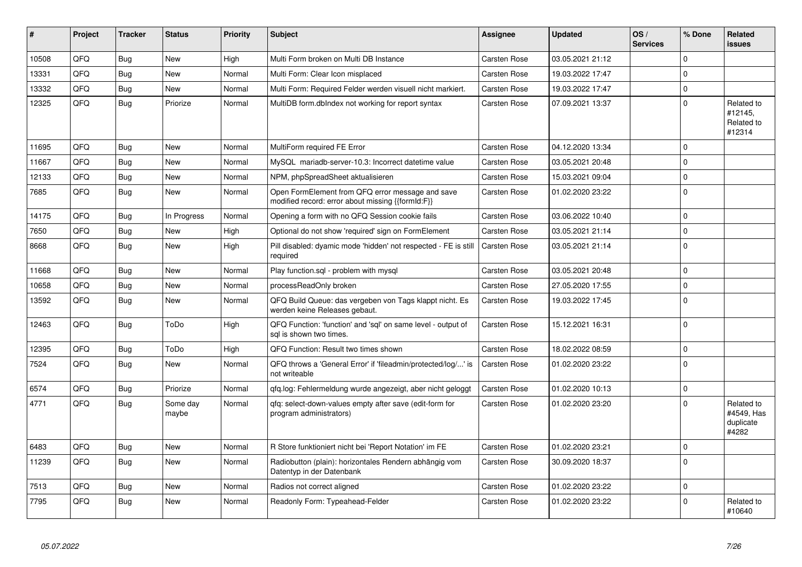| #     | Project | <b>Tracker</b> | <b>Status</b>     | <b>Priority</b> | <b>Subject</b>                                                                                        | <b>Assignee</b>     | <b>Updated</b>   | OS/<br><b>Services</b> | % Done      | Related<br><b>issues</b>                       |
|-------|---------|----------------|-------------------|-----------------|-------------------------------------------------------------------------------------------------------|---------------------|------------------|------------------------|-------------|------------------------------------------------|
| 10508 | QFQ     | <b>Bug</b>     | New               | High            | Multi Form broken on Multi DB Instance                                                                | Carsten Rose        | 03.05.2021 21:12 |                        | $\Omega$    |                                                |
| 13331 | QFQ     | Bug            | New               | Normal          | Multi Form: Clear Icon misplaced                                                                      | <b>Carsten Rose</b> | 19.03.2022 17:47 |                        | $\Omega$    |                                                |
| 13332 | QFQ     | Bug            | New               | Normal          | Multi Form: Required Felder werden visuell nicht markiert.                                            | <b>Carsten Rose</b> | 19.03.2022 17:47 |                        | $\mathbf 0$ |                                                |
| 12325 | QFQ     | Bug            | Priorize          | Normal          | MultiDB form.dblndex not working for report syntax                                                    | <b>Carsten Rose</b> | 07.09.2021 13:37 |                        | $\mathbf 0$ | Related to<br>#12145,<br>Related to<br>#12314  |
| 11695 | QFQ     | Bug            | <b>New</b>        | Normal          | MultiForm required FE Error                                                                           | <b>Carsten Rose</b> | 04.12.2020 13:34 |                        | $\mathbf 0$ |                                                |
| 11667 | QFQ     | <b>Bug</b>     | <b>New</b>        | Normal          | MySQL mariadb-server-10.3: Incorrect datetime value                                                   | <b>Carsten Rose</b> | 03.05.2021 20:48 |                        | $\Omega$    |                                                |
| 12133 | QFQ     | Bug            | <b>New</b>        | Normal          | NPM, phpSpreadSheet aktualisieren                                                                     | Carsten Rose        | 15.03.2021 09:04 |                        | $\mathbf 0$ |                                                |
| 7685  | QFQ     | <b>Bug</b>     | New               | Normal          | Open FormElement from QFQ error message and save<br>modified record: error about missing {{formId:F}} | <b>Carsten Rose</b> | 01.02.2020 23:22 |                        | $\Omega$    |                                                |
| 14175 | QFQ     | <b>Bug</b>     | In Progress       | Normal          | Opening a form with no QFQ Session cookie fails                                                       | <b>Carsten Rose</b> | 03.06.2022 10:40 |                        | $\Omega$    |                                                |
| 7650  | QFQ     | <b>Bug</b>     | New               | High            | Optional do not show 'required' sign on FormElement                                                   | Carsten Rose        | 03.05.2021 21:14 |                        | $\mathbf 0$ |                                                |
| 8668  | QFQ     | Bug            | New               | High            | Pill disabled: dyamic mode 'hidden' not respected - FE is still<br>required                           | Carsten Rose        | 03.05.2021 21:14 |                        | $\Omega$    |                                                |
| 11668 | QFQ     | Bug            | New               | Normal          | Play function.sql - problem with mysql                                                                | <b>Carsten Rose</b> | 03.05.2021 20:48 |                        | $\Omega$    |                                                |
| 10658 | QFQ     | <b>Bug</b>     | New               | Normal          | processReadOnly broken                                                                                | Carsten Rose        | 27.05.2020 17:55 |                        | $\pmb{0}$   |                                                |
| 13592 | QFQ     | Bug            | New               | Normal          | QFQ Build Queue: das vergeben von Tags klappt nicht. Es<br>werden keine Releases gebaut.              | <b>Carsten Rose</b> | 19.03.2022 17:45 |                        | $\mathbf 0$ |                                                |
| 12463 | QFQ     | Bug            | ToDo              | High            | QFQ Function: 'function' and 'sql' on same level - output of<br>sal is shown two times.               | <b>Carsten Rose</b> | 15.12.2021 16:31 |                        | $\mathbf 0$ |                                                |
| 12395 | QFQ     | <b>Bug</b>     | ToDo              | High            | QFQ Function: Result two times shown                                                                  | Carsten Rose        | 18.02.2022 08:59 |                        | $\mathbf 0$ |                                                |
| 7524  | QFQ     | Bug            | <b>New</b>        | Normal          | QFQ throws a 'General Error' if 'fileadmin/protected/log/' is<br>not writeable                        | Carsten Rose        | 01.02.2020 23:22 |                        | $\Omega$    |                                                |
| 6574  | QFQ     | <b>Bug</b>     | Priorize          | Normal          | qfq.log: Fehlermeldung wurde angezeigt, aber nicht geloggt                                            | <b>Carsten Rose</b> | 01.02.2020 10:13 |                        | $\Omega$    |                                                |
| 4771  | QFQ     | <b>Bug</b>     | Some day<br>maybe | Normal          | qfq: select-down-values empty after save (edit-form for<br>program administrators)                    | <b>Carsten Rose</b> | 01.02.2020 23:20 |                        | $\mathbf 0$ | Related to<br>#4549. Has<br>duplicate<br>#4282 |
| 6483  | QFQ     | Bug            | <b>New</b>        | Normal          | R Store funktioniert nicht bei 'Report Notation' im FE                                                | Carsten Rose        | 01.02.2020 23:21 |                        | $\Omega$    |                                                |
| 11239 | QFQ     | Bug            | New               | Normal          | Radiobutton (plain): horizontales Rendern abhängig vom<br>Datentyp in der Datenbank                   | Carsten Rose        | 30.09.2020 18:37 |                        | $\mathbf 0$ |                                                |
| 7513  | QFQ     | Bug            | New               | Normal          | Radios not correct aligned                                                                            | <b>Carsten Rose</b> | 01.02.2020 23:22 |                        | $\mathbf 0$ |                                                |
| 7795  | QFQ     | <b>Bug</b>     | <b>New</b>        | Normal          | Readonly Form: Typeahead-Felder                                                                       | <b>Carsten Rose</b> | 01.02.2020 23:22 |                        | $\Omega$    | Related to<br>#10640                           |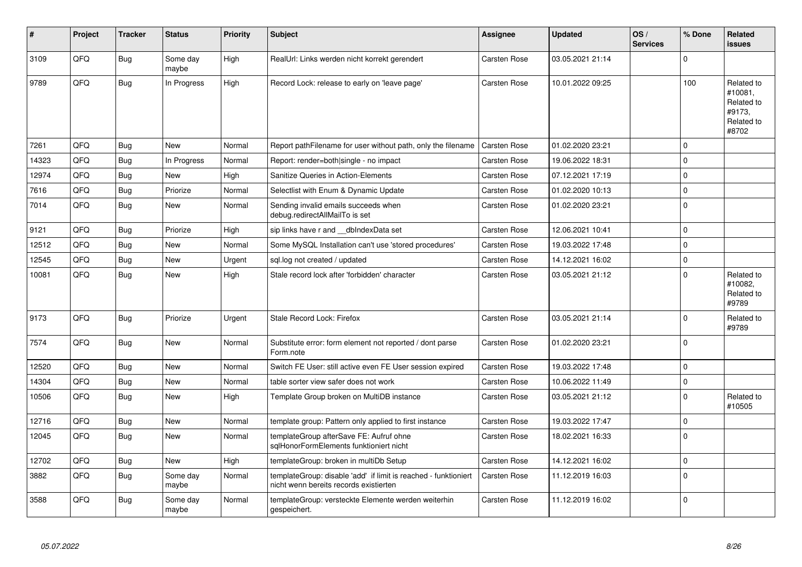| #     | Project | <b>Tracker</b> | <b>Status</b>     | <b>Priority</b> | <b>Subject</b>                                                                                            | Assignee     | <b>Updated</b>   | OS/<br><b>Services</b> | % Done         | Related<br><b>issues</b>                                             |
|-------|---------|----------------|-------------------|-----------------|-----------------------------------------------------------------------------------------------------------|--------------|------------------|------------------------|----------------|----------------------------------------------------------------------|
| 3109  | QFQ     | <b>Bug</b>     | Some day<br>maybe | High            | RealUrl: Links werden nicht korrekt gerendert                                                             | Carsten Rose | 03.05.2021 21:14 |                        | $\Omega$       |                                                                      |
| 9789  | QFQ     | <b>Bug</b>     | In Progress       | High            | Record Lock: release to early on 'leave page'                                                             | Carsten Rose | 10.01.2022 09:25 |                        | 100            | Related to<br>#10081,<br>Related to<br>#9173,<br>Related to<br>#8702 |
| 7261  | QFQ     | Bug            | <b>New</b>        | Normal          | Report pathFilename for user without path, only the filename                                              | Carsten Rose | 01.02.2020 23:21 |                        | $\Omega$       |                                                                      |
| 14323 | QFQ     | <b>Bug</b>     | In Progress       | Normal          | Report: render=both single - no impact                                                                    | Carsten Rose | 19.06.2022 18:31 |                        | $\Omega$       |                                                                      |
| 12974 | QFQ     | <b>Bug</b>     | New               | High            | Sanitize Queries in Action-Elements                                                                       | Carsten Rose | 07.12.2021 17:19 |                        | $\Omega$       |                                                                      |
| 7616  | QFQ     | <b>Bug</b>     | Priorize          | Normal          | Selectlist with Enum & Dynamic Update                                                                     | Carsten Rose | 01.02.2020 10:13 |                        | $\overline{0}$ |                                                                      |
| 7014  | QFQ     | <b>Bug</b>     | New               | Normal          | Sending invalid emails succeeds when<br>debug.redirectAllMailTo is set                                    | Carsten Rose | 01.02.2020 23:21 |                        | $\overline{0}$ |                                                                      |
| 9121  | QFQ     | Bug            | Priorize          | High            | sip links have r and dblndexData set                                                                      | Carsten Rose | 12.06.2021 10:41 |                        | 0              |                                                                      |
| 12512 | QFQ     | Bug            | New               | Normal          | Some MySQL Installation can't use 'stored procedures'                                                     | Carsten Rose | 19.03.2022 17:48 |                        | $\mathbf 0$    |                                                                      |
| 12545 | QFQ     | <b>Bug</b>     | New               | Urgent          | sql.log not created / updated                                                                             | Carsten Rose | 14.12.2021 16:02 |                        | $\Omega$       |                                                                      |
| 10081 | QFQ     | Bug            | New               | High            | Stale record lock after 'forbidden' character                                                             | Carsten Rose | 03.05.2021 21:12 |                        | $\Omega$       | Related to<br>#10082,<br>Related to<br>#9789                         |
| 9173  | QFQ     | <b>Bug</b>     | Priorize          | Urgent          | Stale Record Lock: Firefox                                                                                | Carsten Rose | 03.05.2021 21:14 |                        | 0              | Related to<br>#9789                                                  |
| 7574  | QFQ     | <b>Bug</b>     | <b>New</b>        | Normal          | Substitute error: form element not reported / dont parse<br>Form.note                                     | Carsten Rose | 01.02.2020 23:21 |                        | $\Omega$       |                                                                      |
| 12520 | QFQ     | <b>Bug</b>     | New               | Normal          | Switch FE User: still active even FE User session expired                                                 | Carsten Rose | 19.03.2022 17:48 |                        | $\overline{0}$ |                                                                      |
| 14304 | QFQ     | Bug            | <b>New</b>        | Normal          | table sorter view safer does not work                                                                     | Carsten Rose | 10.06.2022 11:49 |                        | $\mathbf 0$    |                                                                      |
| 10506 | QFQ     | <b>Bug</b>     | New               | High            | Template Group broken on MultiDB instance                                                                 | Carsten Rose | 03.05.2021 21:12 |                        | $\overline{0}$ | Related to<br>#10505                                                 |
| 12716 | QFQ     | Bug            | <b>New</b>        | Normal          | template group: Pattern only applied to first instance                                                    | Carsten Rose | 19.03.2022 17:47 |                        | $\Omega$       |                                                                      |
| 12045 | QFQ     | <b>Bug</b>     | New               | Normal          | templateGroup afterSave FE: Aufruf ohne<br>sglHonorFormElements funktioniert nicht                        | Carsten Rose | 18.02.2021 16:33 |                        | 0              |                                                                      |
| 12702 | QFQ     | <b>Bug</b>     | New               | High            | templateGroup: broken in multiDb Setup                                                                    | Carsten Rose | 14.12.2021 16:02 |                        | $\Omega$       |                                                                      |
| 3882  | QFQ     | <b>Bug</b>     | Some day<br>maybe | Normal          | templateGroup: disable 'add' if limit is reached - funktioniert<br>nicht wenn bereits records existierten | Carsten Rose | 11.12.2019 16:03 |                        | 0              |                                                                      |
| 3588  | QFQ     | <b>Bug</b>     | Some day<br>maybe | Normal          | templateGroup: versteckte Elemente werden weiterhin<br>gespeichert.                                       | Carsten Rose | 11.12.2019 16:02 |                        | $\overline{0}$ |                                                                      |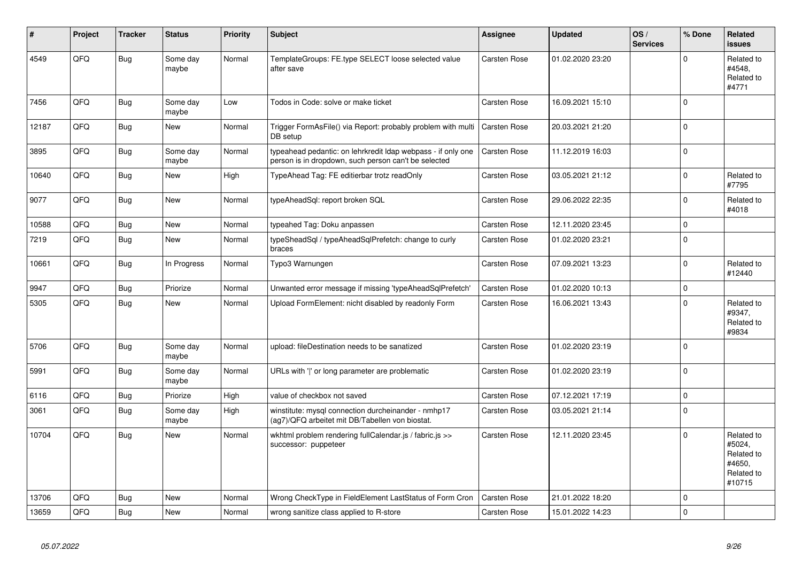| #     | Project | <b>Tracker</b> | <b>Status</b>     | <b>Priority</b> | <b>Subject</b>                                                                                                       | <b>Assignee</b>     | <b>Updated</b>   | OS/<br><b>Services</b> | % Done      | <b>Related</b><br><b>issues</b>                                      |
|-------|---------|----------------|-------------------|-----------------|----------------------------------------------------------------------------------------------------------------------|---------------------|------------------|------------------------|-------------|----------------------------------------------------------------------|
| 4549  | QFQ     | <b>Bug</b>     | Some day<br>maybe | Normal          | TemplateGroups: FE.type SELECT loose selected value<br>after save                                                    | <b>Carsten Rose</b> | 01.02.2020 23:20 |                        | $\mathbf 0$ | Related to<br>#4548.<br>Related to<br>#4771                          |
| 7456  | QFQ     | Bug            | Some day<br>maybe | Low             | Todos in Code: solve or make ticket                                                                                  | Carsten Rose        | 16.09.2021 15:10 |                        | $\mathbf 0$ |                                                                      |
| 12187 | QFQ     | Bug            | New               | Normal          | Trigger FormAsFile() via Report: probably problem with multi<br>DB setup                                             | Carsten Rose        | 20.03.2021 21:20 |                        | $\mathbf 0$ |                                                                      |
| 3895  | QFQ     | <b>Bug</b>     | Some day<br>maybe | Normal          | typeahead pedantic: on lehrkredit Idap webpass - if only one<br>person is in dropdown, such person can't be selected | <b>Carsten Rose</b> | 11.12.2019 16:03 |                        | $\mathbf 0$ |                                                                      |
| 10640 | QFQ     | Bug            | New               | High            | TypeAhead Tag: FE editierbar trotz readOnly                                                                          | Carsten Rose        | 03.05.2021 21:12 |                        | $\mathbf 0$ | Related to<br>#7795                                                  |
| 9077  | QFQ     | Bug            | <b>New</b>        | Normal          | typeAheadSql: report broken SQL                                                                                      | Carsten Rose        | 29.06.2022 22:35 |                        | $\mathbf 0$ | Related to<br>#4018                                                  |
| 10588 | QFQ     | Bug            | <b>New</b>        | Normal          | typeahed Tag: Doku anpassen                                                                                          | <b>Carsten Rose</b> | 12.11.2020 23:45 |                        | $\mathbf 0$ |                                                                      |
| 7219  | QFQ     | Bug            | <b>New</b>        | Normal          | typeSheadSgl / typeAheadSglPrefetch: change to curly<br>braces                                                       | Carsten Rose        | 01.02.2020 23:21 |                        | $\mathbf 0$ |                                                                      |
| 10661 | QFQ     | <b>Bug</b>     | In Progress       | Normal          | Typo3 Warnungen                                                                                                      | <b>Carsten Rose</b> | 07.09.2021 13:23 |                        | $\Omega$    | Related to<br>#12440                                                 |
| 9947  | QFQ     | <b>Bug</b>     | Priorize          | Normal          | Unwanted error message if missing 'typeAheadSqlPrefetch'                                                             | <b>Carsten Rose</b> | 01.02.2020 10:13 |                        | $\mathbf 0$ |                                                                      |
| 5305  | QFQ     | <b>Bug</b>     | New               | Normal          | Upload FormElement: nicht disabled by readonly Form                                                                  | <b>Carsten Rose</b> | 16.06.2021 13:43 |                        | $\mathbf 0$ | Related to<br>#9347,<br>Related to<br>#9834                          |
| 5706  | QFQ     | Bug            | Some day<br>maybe | Normal          | upload: fileDestination needs to be sanatized                                                                        | <b>Carsten Rose</b> | 01.02.2020 23:19 |                        | $\mathbf 0$ |                                                                      |
| 5991  | QFQ     | Bug            | Some day<br>maybe | Normal          | URLs with ' ' or long parameter are problematic                                                                      | <b>Carsten Rose</b> | 01.02.2020 23:19 |                        | $\mathbf 0$ |                                                                      |
| 6116  | QFQ     | Bug            | Priorize          | High            | value of checkbox not saved                                                                                          | Carsten Rose        | 07.12.2021 17:19 |                        | $\mathbf 0$ |                                                                      |
| 3061  | QFQ     | <b>Bug</b>     | Some day<br>maybe | High            | winstitute: mysql connection durcheinander - nmhp17<br>(ag7)/QFQ arbeitet mit DB/Tabellen von biostat.               | Carsten Rose        | 03.05.2021 21:14 |                        | $\mathbf 0$ |                                                                      |
| 10704 | QFQ     | Bug            | <b>New</b>        | Normal          | wkhtml problem rendering fullCalendar.js / fabric.js >><br>successor: puppeteer                                      | <b>Carsten Rose</b> | 12.11.2020 23:45 |                        | $\Omega$    | Related to<br>#5024,<br>Related to<br>#4650.<br>Related to<br>#10715 |
| 13706 | QFQ     | <b>Bug</b>     | <b>New</b>        | Normal          | Wrong CheckType in FieldElement LastStatus of Form Cron                                                              | Carsten Rose        | 21.01.2022 18:20 |                        | $\mathsf 0$ |                                                                      |
| 13659 | QFQ     | <b>Bug</b>     | <b>New</b>        | Normal          | wrong sanitize class applied to R-store                                                                              | Carsten Rose        | 15.01.2022 14:23 |                        | $\mathbf 0$ |                                                                      |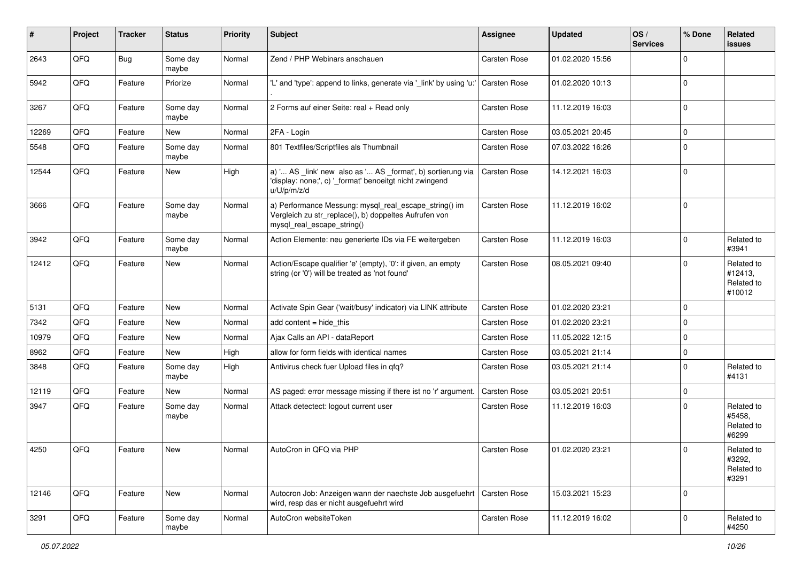| #     | Project | <b>Tracker</b> | <b>Status</b>     | <b>Priority</b> | <b>Subject</b>                                                                                                                               | <b>Assignee</b>     | <b>Updated</b>   | OS/<br><b>Services</b> | % Done      | Related<br>issues                             |
|-------|---------|----------------|-------------------|-----------------|----------------------------------------------------------------------------------------------------------------------------------------------|---------------------|------------------|------------------------|-------------|-----------------------------------------------|
| 2643  | QFQ     | Bug            | Some day<br>maybe | Normal          | Zend / PHP Webinars anschauen                                                                                                                | Carsten Rose        | 01.02.2020 15:56 |                        | $\Omega$    |                                               |
| 5942  | QFQ     | Feature        | Priorize          | Normal          | 'L' and 'type': append to links, generate via '_link' by using 'u:'                                                                          | <b>Carsten Rose</b> | 01.02.2020 10:13 |                        | l 0         |                                               |
| 3267  | QFQ     | Feature        | Some day<br>maybe | Normal          | 2 Forms auf einer Seite: real + Read only                                                                                                    | <b>Carsten Rose</b> | 11.12.2019 16:03 |                        | $\Omega$    |                                               |
| 12269 | QFQ     | Feature        | New               | Normal          | 2FA - Login                                                                                                                                  | <b>Carsten Rose</b> | 03.05.2021 20:45 |                        | $\mathbf 0$ |                                               |
| 5548  | QFQ     | Feature        | Some day<br>maybe | Normal          | 801 Textfiles/Scriptfiles als Thumbnail                                                                                                      | Carsten Rose        | 07.03.2022 16:26 |                        | $\Omega$    |                                               |
| 12544 | QFQ     | Feature        | New               | High            | a) ' AS _link' new also as ' AS _format', b) sortierung via<br>'display: none;', c) '_format' benoeitgt nicht zwingend<br>u/U/p/m/z/d        | Carsten Rose        | 14.12.2021 16:03 |                        | $\mathbf 0$ |                                               |
| 3666  | QFQ     | Feature        | Some day<br>maybe | Normal          | a) Performance Messung: mysql_real_escape_string() im<br>Vergleich zu str_replace(), b) doppeltes Aufrufen von<br>mysql_real_escape_string() | <b>Carsten Rose</b> | 11.12.2019 16:02 |                        | $\mathbf 0$ |                                               |
| 3942  | QFQ     | Feature        | Some day<br>maybe | Normal          | Action Elemente: neu generierte IDs via FE weitergeben                                                                                       | <b>Carsten Rose</b> | 11.12.2019 16:03 |                        | $\Omega$    | Related to<br>#3941                           |
| 12412 | QFQ     | Feature        | New               | Normal          | Action/Escape qualifier 'e' (empty), '0': if given, an empty<br>string (or '0') will be treated as 'not found'                               | <b>Carsten Rose</b> | 08.05.2021 09:40 |                        | $\Omega$    | Related to<br>#12413,<br>Related to<br>#10012 |
| 5131  | QFQ     | Feature        | New               | Normal          | Activate Spin Gear ('wait/busy' indicator) via LINK attribute                                                                                | Carsten Rose        | 01.02.2020 23:21 |                        | $\Omega$    |                                               |
| 7342  | QFQ     | Feature        | New               | Normal          | add content $=$ hide this                                                                                                                    | <b>Carsten Rose</b> | 01.02.2020 23:21 |                        | $\mathbf 0$ |                                               |
| 10979 | QFQ     | Feature        | New               | Normal          | Ajax Calls an API - dataReport                                                                                                               | Carsten Rose        | 11.05.2022 12:15 |                        | $\mathbf 0$ |                                               |
| 8962  | QFQ     | Feature        | New               | High            | allow for form fields with identical names                                                                                                   | Carsten Rose        | 03.05.2021 21:14 |                        | $\Omega$    |                                               |
| 3848  | QFQ     | Feature        | Some day<br>maybe | High            | Antivirus check fuer Upload files in qfq?                                                                                                    | Carsten Rose        | 03.05.2021 21:14 |                        | $\Omega$    | Related to<br>#4131                           |
| 12119 | QFQ     | Feature        | New               | Normal          | AS paged: error message missing if there ist no 'r' argument.                                                                                | Carsten Rose        | 03.05.2021 20:51 |                        | 0           |                                               |
| 3947  | QFQ     | Feature        | Some day<br>maybe | Normal          | Attack detectect: logout current user                                                                                                        | Carsten Rose        | 11.12.2019 16:03 |                        | $\Omega$    | Related to<br>#5458,<br>Related to<br>#6299   |
| 4250  | QFQ     | Feature        | New               | Normal          | AutoCron in QFQ via PHP                                                                                                                      | <b>Carsten Rose</b> | 01.02.2020 23:21 |                        |             | Related to<br>#3292,<br>Related to<br>#3291   |
| 12146 | QFQ     | Feature        | New               | Normal          | Autocron Job: Anzeigen wann der naechste Job ausgefuehrt<br>wird, resp das er nicht ausgefuehrt wird                                         | <b>Carsten Rose</b> | 15.03.2021 15:23 |                        | 0           |                                               |
| 3291  | QFQ     | Feature        | Some day<br>maybe | Normal          | AutoCron websiteToken                                                                                                                        | Carsten Rose        | 11.12.2019 16:02 |                        | $\Omega$    | Related to<br>#4250                           |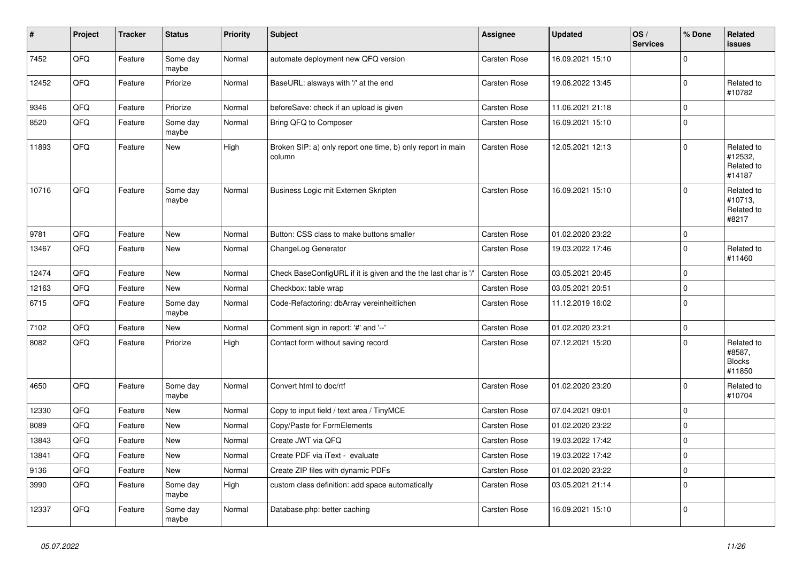| $\vert$ # | Project | <b>Tracker</b> | <b>Status</b>     | <b>Priority</b> | <b>Subject</b>                                                        | <b>Assignee</b>     | <b>Updated</b>   | OS/<br><b>Services</b> | % Done      | Related<br>issues                               |
|-----------|---------|----------------|-------------------|-----------------|-----------------------------------------------------------------------|---------------------|------------------|------------------------|-------------|-------------------------------------------------|
| 7452      | QFQ     | Feature        | Some day<br>maybe | Normal          | automate deployment new QFQ version                                   | <b>Carsten Rose</b> | 16.09.2021 15:10 |                        | $\Omega$    |                                                 |
| 12452     | QFQ     | Feature        | Priorize          | Normal          | BaseURL: alsways with '/' at the end                                  | Carsten Rose        | 19.06.2022 13:45 |                        | $\mathbf 0$ | Related to<br>#10782                            |
| 9346      | QFQ     | Feature        | Priorize          | Normal          | beforeSave: check if an upload is given                               | Carsten Rose        | 11.06.2021 21:18 |                        | $\mathbf 0$ |                                                 |
| 8520      | QFQ     | Feature        | Some day<br>maybe | Normal          | Bring QFQ to Composer                                                 | Carsten Rose        | 16.09.2021 15:10 |                        | $\mathbf 0$ |                                                 |
| 11893     | QFQ     | Feature        | New               | High            | Broken SIP: a) only report one time, b) only report in main<br>column | Carsten Rose        | 12.05.2021 12:13 |                        | $\Omega$    | Related to<br>#12532,<br>Related to<br>#14187   |
| 10716     | QFQ     | Feature        | Some day<br>maybe | Normal          | Business Logic mit Externen Skripten                                  | Carsten Rose        | 16.09.2021 15:10 |                        | $\Omega$    | Related to<br>#10713,<br>Related to<br>#8217    |
| 9781      | QFQ     | Feature        | <b>New</b>        | Normal          | Button: CSS class to make buttons smaller                             | Carsten Rose        | 01.02.2020 23:22 |                        | $\Omega$    |                                                 |
| 13467     | QFQ     | Feature        | <b>New</b>        | Normal          | ChangeLog Generator                                                   | <b>Carsten Rose</b> | 19.03.2022 17:46 |                        | $\mathbf 0$ | Related to<br>#11460                            |
| 12474     | QFQ     | Feature        | <b>New</b>        | Normal          | Check BaseConfigURL if it is given and the the last char is '/'       | <b>Carsten Rose</b> | 03.05.2021 20:45 |                        | $\Omega$    |                                                 |
| 12163     | QFQ     | Feature        | New               | Normal          | Checkbox: table wrap                                                  | Carsten Rose        | 03.05.2021 20:51 |                        | 0           |                                                 |
| 6715      | QFQ     | Feature        | Some day<br>maybe | Normal          | Code-Refactoring: dbArray vereinheitlichen                            | <b>Carsten Rose</b> | 11.12.2019 16:02 |                        | $\mathbf 0$ |                                                 |
| 7102      | QFQ     | Feature        | New               | Normal          | Comment sign in report: '#' and '--'                                  | Carsten Rose        | 01.02.2020 23:21 |                        | $\mathbf 0$ |                                                 |
| 8082      | QFQ     | Feature        | Priorize          | High            | Contact form without saving record                                    | <b>Carsten Rose</b> | 07.12.2021 15:20 |                        | $\mathbf 0$ | Related to<br>#8587,<br><b>Blocks</b><br>#11850 |
| 4650      | QFQ     | Feature        | Some day<br>maybe | Normal          | Convert html to doc/rtf                                               | <b>Carsten Rose</b> | 01.02.2020 23:20 |                        | $\Omega$    | Related to<br>#10704                            |
| 12330     | QFQ     | Feature        | <b>New</b>        | Normal          | Copy to input field / text area / TinyMCE                             | Carsten Rose        | 07.04.2021 09:01 |                        | $\mathbf 0$ |                                                 |
| 8089      | QFQ     | Feature        | <b>New</b>        | Normal          | Copy/Paste for FormElements                                           | <b>Carsten Rose</b> | 01.02.2020 23:22 |                        | $\mathbf 0$ |                                                 |
| 13843     | QFQ     | Feature        | <b>New</b>        | Normal          | Create JWT via QFQ                                                    | Carsten Rose        | 19.03.2022 17:42 |                        | $\mathbf 0$ |                                                 |
| 13841     | QFQ     | Feature        | <b>New</b>        | Normal          | Create PDF via iText - evaluate                                       | Carsten Rose        | 19.03.2022 17:42 |                        | $\mathbf 0$ |                                                 |
| 9136      | QFQ     | Feature        | New               | Normal          | Create ZIP files with dynamic PDFs                                    | <b>Carsten Rose</b> | 01.02.2020 23:22 |                        | $\mathbf 0$ |                                                 |
| 3990      | QFQ     | Feature        | Some day<br>maybe | High            | custom class definition: add space automatically                      | <b>Carsten Rose</b> | 03.05.2021 21:14 |                        | $\mathbf 0$ |                                                 |
| 12337     | QFQ     | Feature        | Some day<br>maybe | Normal          | Database.php: better caching                                          | Carsten Rose        | 16.09.2021 15:10 |                        | $\mathbf 0$ |                                                 |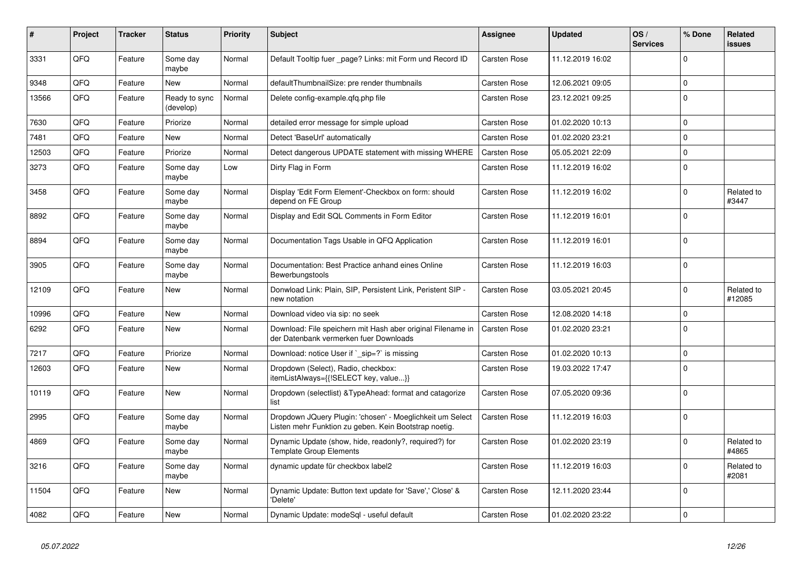| #     | Project | <b>Tracker</b> | <b>Status</b>              | <b>Priority</b> | <b>Subject</b>                                                                                                     | <b>Assignee</b>     | <b>Updated</b>   | OS/<br><b>Services</b> | % Done   | Related<br><b>issues</b> |
|-------|---------|----------------|----------------------------|-----------------|--------------------------------------------------------------------------------------------------------------------|---------------------|------------------|------------------------|----------|--------------------------|
| 3331  | QFQ     | Feature        | Some day<br>maybe          | Normal          | Default Tooltip fuer _page? Links: mit Form und Record ID                                                          | Carsten Rose        | 11.12.2019 16:02 |                        | $\Omega$ |                          |
| 9348  | QFQ     | Feature        | New                        | Normal          | defaultThumbnailSize: pre render thumbnails                                                                        | Carsten Rose        | 12.06.2021 09:05 |                        | $\Omega$ |                          |
| 13566 | QFQ     | Feature        | Ready to sync<br>(develop) | Normal          | Delete config-example.gfg.php file                                                                                 | <b>Carsten Rose</b> | 23.12.2021 09:25 |                        | $\Omega$ |                          |
| 7630  | QFQ     | Feature        | Priorize                   | Normal          | detailed error message for simple upload                                                                           | <b>Carsten Rose</b> | 01.02.2020 10:13 |                        | $\Omega$ |                          |
| 7481  | QFQ     | Feature        | <b>New</b>                 | Normal          | Detect 'BaseUrl' automatically                                                                                     | <b>Carsten Rose</b> | 01.02.2020 23:21 |                        | $\Omega$ |                          |
| 12503 | QFQ     | Feature        | Priorize                   | Normal          | Detect dangerous UPDATE statement with missing WHERE                                                               | <b>Carsten Rose</b> | 05.05.2021 22:09 |                        | $\Omega$ |                          |
| 3273  | QFQ     | Feature        | Some day<br>maybe          | Low             | Dirty Flag in Form                                                                                                 | Carsten Rose        | 11.12.2019 16:02 |                        | $\Omega$ |                          |
| 3458  | QFQ     | Feature        | Some day<br>maybe          | Normal          | Display 'Edit Form Element'-Checkbox on form: should<br>depend on FE Group                                         | <b>Carsten Rose</b> | 11.12.2019 16:02 |                        | $\Omega$ | Related to<br>#3447      |
| 8892  | QFQ     | Feature        | Some day<br>maybe          | Normal          | Display and Edit SQL Comments in Form Editor                                                                       | <b>Carsten Rose</b> | 11.12.2019 16:01 |                        | $\Omega$ |                          |
| 8894  | QFQ     | Feature        | Some day<br>maybe          | Normal          | Documentation Tags Usable in QFQ Application                                                                       | <b>Carsten Rose</b> | 11.12.2019 16:01 |                        | $\Omega$ |                          |
| 3905  | QFQ     | Feature        | Some day<br>maybe          | Normal          | Documentation: Best Practice anhand eines Online<br>Bewerbungstools                                                | <b>Carsten Rose</b> | 11.12.2019 16:03 |                        | $\Omega$ |                          |
| 12109 | QFQ     | Feature        | <b>New</b>                 | Normal          | Donwload Link: Plain, SIP, Persistent Link, Peristent SIP -<br>new notation                                        | <b>Carsten Rose</b> | 03.05.2021 20:45 |                        | $\Omega$ | Related to<br>#12085     |
| 10996 | QFQ     | Feature        | <b>New</b>                 | Normal          | Download video via sip: no seek                                                                                    | <b>Carsten Rose</b> | 12.08.2020 14:18 |                        | $\Omega$ |                          |
| 6292  | QFQ     | Feature        | <b>New</b>                 | Normal          | Download: File speichern mit Hash aber original Filename in<br>der Datenbank vermerken fuer Downloads              | Carsten Rose        | 01.02.2020 23:21 |                        | $\Omega$ |                          |
| 7217  | QFQ     | Feature        | Priorize                   | Normal          | Download: notice User if `_sip=?` is missing                                                                       | <b>Carsten Rose</b> | 01.02.2020 10:13 |                        | $\Omega$ |                          |
| 12603 | QFQ     | Feature        | <b>New</b>                 | Normal          | Dropdown (Select), Radio, checkbox:<br>itemListAlways={{!SELECT key, value}}                                       | <b>Carsten Rose</b> | 19.03.2022 17:47 |                        | $\Omega$ |                          |
| 10119 | QFQ     | Feature        | <b>New</b>                 | Normal          | Dropdown (selectlist) & TypeAhead: format and catagorize<br>list                                                   | Carsten Rose        | 07.05.2020 09:36 |                        | $\Omega$ |                          |
| 2995  | QFQ     | Feature        | Some day<br>maybe          | Normal          | Dropdown JQuery Plugin: 'chosen' - Moeglichkeit um Select<br>Listen mehr Funktion zu geben. Kein Bootstrap noetig. | Carsten Rose        | 11.12.2019 16:03 |                        | $\Omega$ |                          |
| 4869  | QFQ     | Feature        | Some day<br>maybe          | Normal          | Dynamic Update (show, hide, readonly?, required?) for<br><b>Template Group Elements</b>                            | Carsten Rose        | 01.02.2020 23:19 |                        | $\Omega$ | Related to<br>#4865      |
| 3216  | QFQ     | Feature        | Some day<br>maybe          | Normal          | dynamic update für checkbox label2                                                                                 | <b>Carsten Rose</b> | 11.12.2019 16:03 |                        | 0        | Related to<br>#2081      |
| 11504 | QFQ     | Feature        | <b>New</b>                 | Normal          | Dynamic Update: Button text update for 'Save',' Close' &<br>'Delete'                                               | <b>Carsten Rose</b> | 12.11.2020 23:44 |                        | $\Omega$ |                          |
| 4082  | QFQ     | Feature        | <b>New</b>                 | Normal          | Dynamic Update: modeSql - useful default                                                                           | <b>Carsten Rose</b> | 01.02.2020 23:22 |                        | $\Omega$ |                          |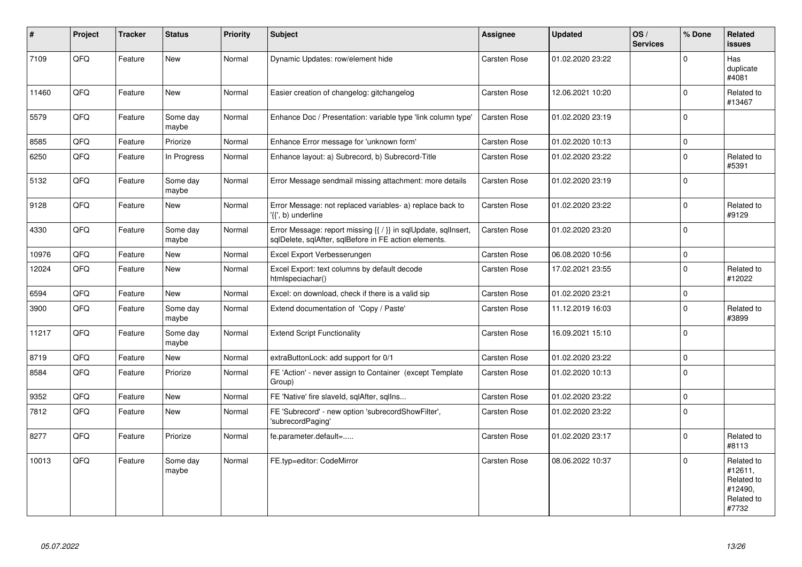| #     | Project | <b>Tracker</b> | <b>Status</b>     | <b>Priority</b> | <b>Subject</b>                                                                                                          | Assignee            | <b>Updated</b>   | OS/<br><b>Services</b> | % Done      | Related<br><b>issues</b>                                              |
|-------|---------|----------------|-------------------|-----------------|-------------------------------------------------------------------------------------------------------------------------|---------------------|------------------|------------------------|-------------|-----------------------------------------------------------------------|
| 7109  | QFQ     | Feature        | <b>New</b>        | Normal          | Dynamic Updates: row/element hide                                                                                       | <b>Carsten Rose</b> | 01.02.2020 23:22 |                        | $\Omega$    | Has<br>duplicate<br>#4081                                             |
| 11460 | QFQ     | Feature        | <b>New</b>        | Normal          | Easier creation of changelog: gitchangelog                                                                              | Carsten Rose        | 12.06.2021 10:20 |                        | $\Omega$    | Related to<br>#13467                                                  |
| 5579  | QFQ     | Feature        | Some day<br>maybe | Normal          | Enhance Doc / Presentation: variable type 'link column type'                                                            | <b>Carsten Rose</b> | 01.02.2020 23:19 |                        | $\Omega$    |                                                                       |
| 8585  | QFQ     | Feature        | Priorize          | Normal          | Enhance Error message for 'unknown form'                                                                                | <b>Carsten Rose</b> | 01.02.2020 10:13 |                        | $\mathbf 0$ |                                                                       |
| 6250  | QFQ     | Feature        | In Progress       | Normal          | Enhance layout: a) Subrecord, b) Subrecord-Title                                                                        | <b>Carsten Rose</b> | 01.02.2020 23:22 |                        | $\Omega$    | Related to<br>#5391                                                   |
| 5132  | QFQ     | Feature        | Some day<br>maybe | Normal          | Error Message sendmail missing attachment: more details                                                                 | <b>Carsten Rose</b> | 01.02.2020 23:19 |                        | $\mathbf 0$ |                                                                       |
| 9128  | QFQ     | Feature        | <b>New</b>        | Normal          | Error Message: not replaced variables- a) replace back to<br>'{{', b) underline                                         | <b>Carsten Rose</b> | 01.02.2020 23:22 |                        | $\Omega$    | Related to<br>#9129                                                   |
| 4330  | QFQ     | Feature        | Some day<br>maybe | Normal          | Error Message: report missing {{ / }} in sqlUpdate, sqlInsert,<br>sglDelete, sglAfter, sglBefore in FE action elements. | Carsten Rose        | 01.02.2020 23:20 |                        | $\Omega$    |                                                                       |
| 10976 | QFQ     | Feature        | <b>New</b>        | Normal          | Excel Export Verbesserungen                                                                                             | <b>Carsten Rose</b> | 06.08.2020 10:56 |                        | $\Omega$    |                                                                       |
| 12024 | QFQ     | Feature        | New               | Normal          | Excel Export: text columns by default decode<br>htmlspeciachar()                                                        | Carsten Rose        | 17.02.2021 23:55 |                        | $\Omega$    | Related to<br>#12022                                                  |
| 6594  | QFQ     | Feature        | <b>New</b>        | Normal          | Excel: on download, check if there is a valid sip                                                                       | <b>Carsten Rose</b> | 01.02.2020 23:21 |                        | $\mathbf 0$ |                                                                       |
| 3900  | QFQ     | Feature        | Some day<br>maybe | Normal          | Extend documentation of 'Copy / Paste'                                                                                  | Carsten Rose        | 11.12.2019 16:03 |                        | $\Omega$    | Related to<br>#3899                                                   |
| 11217 | QFQ     | Feature        | Some day<br>maybe | Normal          | <b>Extend Script Functionality</b>                                                                                      | <b>Carsten Rose</b> | 16.09.2021 15:10 |                        | $\Omega$    |                                                                       |
| 8719  | QFQ     | Feature        | New               | Normal          | extraButtonLock: add support for 0/1                                                                                    | <b>Carsten Rose</b> | 01.02.2020 23:22 |                        | $\mathbf 0$ |                                                                       |
| 8584  | QFQ     | Feature        | Priorize          | Normal          | FE 'Action' - never assign to Container (except Template<br>Group)                                                      | <b>Carsten Rose</b> | 01.02.2020 10:13 |                        | $\Omega$    |                                                                       |
| 9352  | QFQ     | Feature        | <b>New</b>        | Normal          | FE 'Native' fire slaveld, sqlAfter, sqlIns                                                                              | <b>Carsten Rose</b> | 01.02.2020 23:22 |                        | $\mathbf 0$ |                                                                       |
| 7812  | QFQ     | Feature        | <b>New</b>        | Normal          | FE 'Subrecord' - new option 'subrecordShowFilter',<br>'subrecordPaging'                                                 | <b>Carsten Rose</b> | 01.02.2020 23:22 |                        | $\Omega$    |                                                                       |
| 8277  | QFQ     | Feature        | Priorize          | Normal          | fe.parameter.default=                                                                                                   | <b>Carsten Rose</b> | 01.02.2020 23:17 |                        | $\mathbf 0$ | Related to<br>#8113                                                   |
| 10013 | QFQ     | Feature        | Some day<br>maybe | Normal          | FE.typ=editor: CodeMirror                                                                                               | Carsten Rose        | 08.06.2022 10:37 |                        | $\Omega$    | Related to<br>#12611,<br>Related to<br>#12490,<br>Related to<br>#7732 |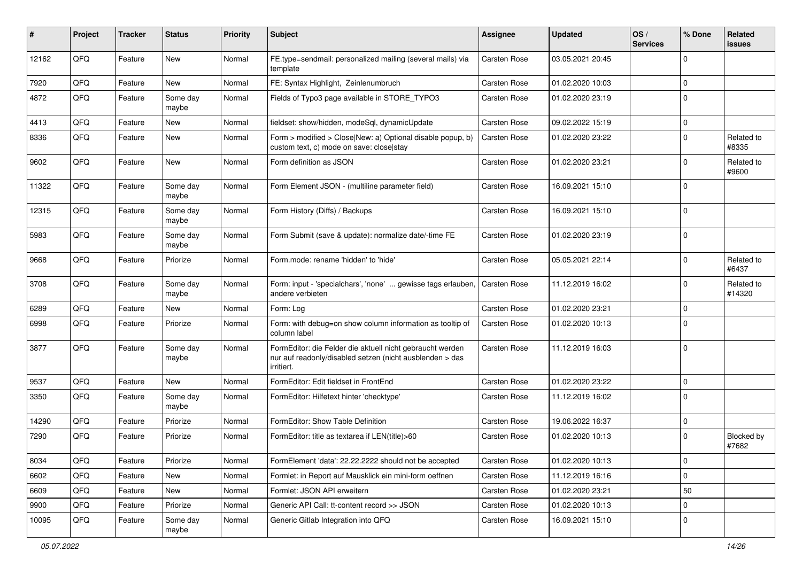| ∦     | Project | <b>Tracker</b> | <b>Status</b>     | <b>Priority</b> | <b>Subject</b>                                                                                                                      | Assignee            | <b>Updated</b>   | OS/<br><b>Services</b> | % Done      | Related<br><b>issues</b> |
|-------|---------|----------------|-------------------|-----------------|-------------------------------------------------------------------------------------------------------------------------------------|---------------------|------------------|------------------------|-------------|--------------------------|
| 12162 | QFQ     | Feature        | <b>New</b>        | Normal          | FE.type=sendmail: personalized mailing (several mails) via<br>template                                                              | <b>Carsten Rose</b> | 03.05.2021 20:45 |                        | $\mathbf 0$ |                          |
| 7920  | QFQ     | Feature        | <b>New</b>        | Normal          | FE: Syntax Highlight, Zeinlenumbruch                                                                                                | <b>Carsten Rose</b> | 01.02.2020 10:03 |                        | $\mathbf 0$ |                          |
| 4872  | QFQ     | Feature        | Some day<br>maybe | Normal          | Fields of Typo3 page available in STORE_TYPO3                                                                                       | Carsten Rose        | 01.02.2020 23:19 |                        | $\mathbf 0$ |                          |
| 4413  | QFQ     | Feature        | New               | Normal          | fieldset: show/hidden, modeSql, dynamicUpdate                                                                                       | Carsten Rose        | 09.02.2022 15:19 |                        | $\mathsf 0$ |                          |
| 8336  | QFQ     | Feature        | New               | Normal          | Form > modified > Close New: a) Optional disable popup, b)<br>custom text, c) mode on save: close stay                              | <b>Carsten Rose</b> | 01.02.2020 23:22 |                        | $\mathbf 0$ | Related to<br>#8335      |
| 9602  | QFQ     | Feature        | <b>New</b>        | Normal          | Form definition as JSON                                                                                                             | Carsten Rose        | 01.02.2020 23:21 |                        | $\mathbf 0$ | Related to<br>#9600      |
| 11322 | QFQ     | Feature        | Some day<br>maybe | Normal          | Form Element JSON - (multiline parameter field)                                                                                     | <b>Carsten Rose</b> | 16.09.2021 15:10 |                        | $\mathbf 0$ |                          |
| 12315 | QFQ     | Feature        | Some day<br>maybe | Normal          | Form History (Diffs) / Backups                                                                                                      | <b>Carsten Rose</b> | 16.09.2021 15:10 |                        | $\mathbf 0$ |                          |
| 5983  | QFQ     | Feature        | Some day<br>maybe | Normal          | Form Submit (save & update): normalize date/-time FE                                                                                | <b>Carsten Rose</b> | 01.02.2020 23:19 |                        | $\mathbf 0$ |                          |
| 9668  | QFQ     | Feature        | Priorize          | Normal          | Form.mode: rename 'hidden' to 'hide'                                                                                                | Carsten Rose        | 05.05.2021 22:14 |                        | $\mathbf 0$ | Related to<br>#6437      |
| 3708  | QFQ     | Feature        | Some day<br>maybe | Normal          | Form: input - 'specialchars', 'none'  gewisse tags erlauben,<br>andere verbieten                                                    | Carsten Rose        | 11.12.2019 16:02 |                        | $\mathbf 0$ | Related to<br>#14320     |
| 6289  | QFQ     | Feature        | New               | Normal          | Form: Log                                                                                                                           | <b>Carsten Rose</b> | 01.02.2020 23:21 |                        | $\mathbf 0$ |                          |
| 6998  | QFQ     | Feature        | Priorize          | Normal          | Form: with debug=on show column information as tooltip of<br>column label                                                           | Carsten Rose        | 01.02.2020 10:13 |                        | $\mathbf 0$ |                          |
| 3877  | QFQ     | Feature        | Some day<br>maybe | Normal          | FormEditor: die Felder die aktuell nicht gebraucht werden<br>nur auf readonly/disabled setzen (nicht ausblenden > das<br>irritiert. | <b>Carsten Rose</b> | 11.12.2019 16:03 |                        | $\mathbf 0$ |                          |
| 9537  | QFQ     | Feature        | <b>New</b>        | Normal          | FormEditor: Edit fieldset in FrontEnd                                                                                               | Carsten Rose        | 01.02.2020 23:22 |                        | $\pmb{0}$   |                          |
| 3350  | QFQ     | Feature        | Some day<br>maybe | Normal          | FormEditor: Hilfetext hinter 'checktype'                                                                                            | <b>Carsten Rose</b> | 11.12.2019 16:02 |                        | $\mathbf 0$ |                          |
| 14290 | QFQ     | Feature        | Priorize          | Normal          | FormEditor: Show Table Definition                                                                                                   | <b>Carsten Rose</b> | 19.06.2022 16:37 |                        | $\mathbf 0$ |                          |
| 7290  | QFQ     | Feature        | Priorize          | Normal          | FormEditor: title as textarea if LEN(title)>60                                                                                      | <b>Carsten Rose</b> | 01.02.2020 10:13 |                        | $\mathbf 0$ | Blocked by<br>#7682      |
| 8034  | QFQ     | Feature        | Priorize          | Normal          | FormElement 'data': 22.22.2222 should not be accepted                                                                               | Carsten Rose        | 01.02.2020 10:13 |                        | $\mathsf 0$ |                          |
| 6602  | QFQ     | Feature        | New               | Normal          | Formlet: in Report auf Mausklick ein mini-form oeffnen                                                                              | Carsten Rose        | 11.12.2019 16:16 |                        | $\mathbf 0$ |                          |
| 6609  | QFQ     | Feature        | New               | Normal          | Formlet: JSON API erweitern                                                                                                         | Carsten Rose        | 01.02.2020 23:21 |                        | 50          |                          |
| 9900  | QFQ     | Feature        | Priorize          | Normal          | Generic API Call: tt-content record >> JSON                                                                                         | Carsten Rose        | 01.02.2020 10:13 |                        | $\mathsf 0$ |                          |
| 10095 | QFQ     | Feature        | Some day<br>maybe | Normal          | Generic Gitlab Integration into QFQ                                                                                                 | Carsten Rose        | 16.09.2021 15:10 |                        | $\mathbf 0$ |                          |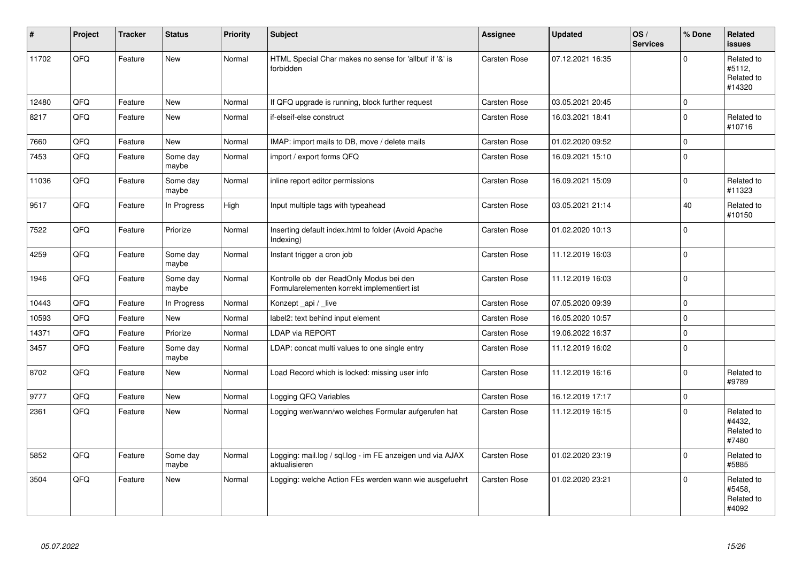| #     | Project | <b>Tracker</b> | <b>Status</b>     | <b>Priority</b> | <b>Subject</b>                                                                         | Assignee            | <b>Updated</b>   | OS/<br><b>Services</b> | % Done      | Related<br><b>issues</b>                     |
|-------|---------|----------------|-------------------|-----------------|----------------------------------------------------------------------------------------|---------------------|------------------|------------------------|-------------|----------------------------------------------|
| 11702 | QFQ     | Feature        | <b>New</b>        | Normal          | HTML Special Char makes no sense for 'allbut' if '&' is<br>forbidden                   | <b>Carsten Rose</b> | 07.12.2021 16:35 |                        | $\Omega$    | Related to<br>#5112,<br>Related to<br>#14320 |
| 12480 | QFQ     | Feature        | <b>New</b>        | Normal          | If QFQ upgrade is running, block further request                                       | Carsten Rose        | 03.05.2021 20:45 |                        | $\mathbf 0$ |                                              |
| 8217  | QFQ     | Feature        | <b>New</b>        | Normal          | if-elseif-else construct                                                               | <b>Carsten Rose</b> | 16.03.2021 18:41 |                        | $\Omega$    | Related to<br>#10716                         |
| 7660  | QFQ     | Feature        | <b>New</b>        | Normal          | IMAP: import mails to DB, move / delete mails                                          | <b>Carsten Rose</b> | 01.02.2020 09:52 |                        | $\Omega$    |                                              |
| 7453  | QFQ     | Feature        | Some day<br>maybe | Normal          | import / export forms QFQ                                                              | Carsten Rose        | 16.09.2021 15:10 |                        | $\Omega$    |                                              |
| 11036 | QFQ     | Feature        | Some day<br>maybe | Normal          | inline report editor permissions                                                       | Carsten Rose        | 16.09.2021 15:09 |                        | $\Omega$    | Related to<br>#11323                         |
| 9517  | QFQ     | Feature        | In Progress       | High            | Input multiple tags with typeahead                                                     | Carsten Rose        | 03.05.2021 21:14 |                        | 40          | Related to<br>#10150                         |
| 7522  | QFQ     | Feature        | Priorize          | Normal          | Inserting default index.html to folder (Avoid Apache<br>Indexing)                      | <b>Carsten Rose</b> | 01.02.2020 10:13 |                        | $\Omega$    |                                              |
| 4259  | QFQ     | Feature        | Some day<br>maybe | Normal          | Instant trigger a cron job                                                             | Carsten Rose        | 11.12.2019 16:03 |                        | $\Omega$    |                                              |
| 1946  | QFQ     | Feature        | Some day<br>maybe | Normal          | Kontrolle ob der ReadOnly Modus bei den<br>Formularelementen korrekt implementiert ist | Carsten Rose        | 11.12.2019 16:03 |                        | $\mathbf 0$ |                                              |
| 10443 | QFQ     | Feature        | In Progress       | Normal          | Konzept _api / _live                                                                   | Carsten Rose        | 07.05.2020 09:39 |                        | $\Omega$    |                                              |
| 10593 | QFQ     | Feature        | <b>New</b>        | Normal          | label2: text behind input element                                                      | Carsten Rose        | 16.05.2020 10:57 |                        | $\mathbf 0$ |                                              |
| 14371 | QFQ     | Feature        | Priorize          | Normal          | <b>LDAP via REPORT</b>                                                                 | <b>Carsten Rose</b> | 19.06.2022 16:37 |                        | $\mathbf 0$ |                                              |
| 3457  | QFQ     | Feature        | Some day<br>maybe | Normal          | LDAP: concat multi values to one single entry                                          | Carsten Rose        | 11.12.2019 16:02 |                        | $\Omega$    |                                              |
| 8702  | QFQ     | Feature        | <b>New</b>        | Normal          | Load Record which is locked: missing user info                                         | <b>Carsten Rose</b> | 11.12.2019 16:16 |                        | $\Omega$    | Related to<br>#9789                          |
| 9777  | QFQ     | Feature        | <b>New</b>        | Normal          | Logging QFQ Variables                                                                  | <b>Carsten Rose</b> | 16.12.2019 17:17 |                        | $\pmb{0}$   |                                              |
| 2361  | QFQ     | Feature        | <b>New</b>        | Normal          | Logging wer/wann/wo welches Formular aufgerufen hat                                    | Carsten Rose        | 11.12.2019 16:15 |                        | $\Omega$    | Related to<br>#4432,<br>Related to<br>#7480  |
| 5852  | QFQ     | Feature        | Some day<br>maybe | Normal          | Logging: mail.log / sql.log - im FE anzeigen und via AJAX<br>aktualisieren             | Carsten Rose        | 01.02.2020 23:19 |                        | $\mathbf 0$ | Related to<br>#5885                          |
| 3504  | QFQ     | Feature        | <b>New</b>        | Normal          | Logging: welche Action FEs werden wann wie ausgefuehrt                                 | Carsten Rose        | 01.02.2020 23:21 |                        | $\Omega$    | Related to<br>#5458,<br>Related to<br>#4092  |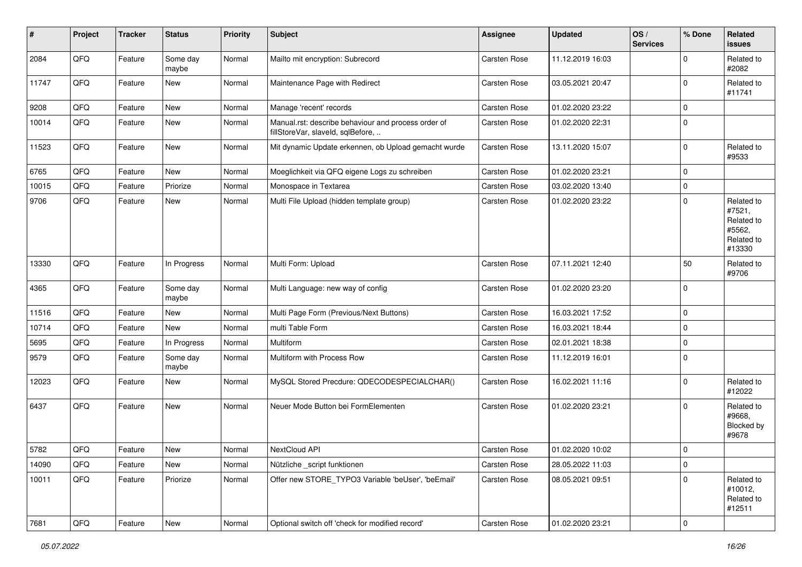| #     | Project        | <b>Tracker</b> | <b>Status</b>     | <b>Priority</b> | <b>Subject</b>                                                                           | <b>Assignee</b>     | <b>Updated</b>   | OS/<br><b>Services</b> | % Done      | Related<br>issues                                                    |
|-------|----------------|----------------|-------------------|-----------------|------------------------------------------------------------------------------------------|---------------------|------------------|------------------------|-------------|----------------------------------------------------------------------|
| 2084  | QFQ            | Feature        | Some day<br>maybe | Normal          | Mailto mit encryption: Subrecord                                                         | Carsten Rose        | 11.12.2019 16:03 |                        | $\Omega$    | Related to<br>#2082                                                  |
| 11747 | QFQ            | Feature        | New               | Normal          | Maintenance Page with Redirect                                                           | <b>Carsten Rose</b> | 03.05.2021 20:47 |                        | $\mathbf 0$ | Related to<br>#11741                                                 |
| 9208  | QFQ            | Feature        | New               | Normal          | Manage 'recent' records                                                                  | <b>Carsten Rose</b> | 01.02.2020 23:22 |                        | $\Omega$    |                                                                      |
| 10014 | QFQ            | Feature        | <b>New</b>        | Normal          | Manual.rst: describe behaviour and process order of<br>fillStoreVar, slaveId, sqlBefore, | Carsten Rose        | 01.02.2020 22:31 |                        | $\mathbf 0$ |                                                                      |
| 11523 | QFQ            | Feature        | <b>New</b>        | Normal          | Mit dynamic Update erkennen, ob Upload gemacht wurde                                     | Carsten Rose        | 13.11.2020 15:07 |                        | $\Omega$    | Related to<br>#9533                                                  |
| 6765  | QFQ            | Feature        | New               | Normal          | Moeglichkeit via QFQ eigene Logs zu schreiben                                            | <b>Carsten Rose</b> | 01.02.2020 23:21 |                        | $\Omega$    |                                                                      |
| 10015 | QFQ            | Feature        | Priorize          | Normal          | Monospace in Textarea                                                                    | Carsten Rose        | 03.02.2020 13:40 |                        | $\mathbf 0$ |                                                                      |
| 9706  | QFQ            | Feature        | <b>New</b>        | Normal          | Multi File Upload (hidden template group)                                                | Carsten Rose        | 01.02.2020 23:22 |                        | $\Omega$    | Related to<br>#7521,<br>Related to<br>#5562,<br>Related to<br>#13330 |
| 13330 | QFQ            | Feature        | In Progress       | Normal          | Multi Form: Upload                                                                       | <b>Carsten Rose</b> | 07.11.2021 12:40 |                        | 50          | Related to<br>#9706                                                  |
| 4365  | QFQ            | Feature        | Some day<br>maybe | Normal          | Multi Language: new way of config                                                        | <b>Carsten Rose</b> | 01.02.2020 23:20 |                        | $\mathbf 0$ |                                                                      |
| 11516 | QFQ            | Feature        | New               | Normal          | Multi Page Form (Previous/Next Buttons)                                                  | <b>Carsten Rose</b> | 16.03.2021 17:52 |                        | $\mathbf 0$ |                                                                      |
| 10714 | QFQ            | Feature        | <b>New</b>        | Normal          | multi Table Form                                                                         | <b>Carsten Rose</b> | 16.03.2021 18:44 |                        | $\mathbf 0$ |                                                                      |
| 5695  | QFQ            | Feature        | In Progress       | Normal          | <b>Multiform</b>                                                                         | <b>Carsten Rose</b> | 02.01.2021 18:38 |                        | $\mathbf 0$ |                                                                      |
| 9579  | QFQ            | Feature        | Some day<br>maybe | Normal          | Multiform with Process Row                                                               | Carsten Rose        | 11.12.2019 16:01 |                        | $\mathbf 0$ |                                                                      |
| 12023 | QFQ            | Feature        | New               | Normal          | MySQL Stored Precdure: QDECODESPECIALCHAR()                                              | Carsten Rose        | 16.02.2021 11:16 |                        | 0           | Related to<br>#12022                                                 |
| 6437  | QFQ            | Feature        | New               | Normal          | Neuer Mode Button bei FormElementen                                                      | <b>Carsten Rose</b> | 01.02.2020 23:21 |                        | 0           | Related to<br>#9668,<br>Blocked by<br>#9678                          |
| 5782  | QFQ            | Feature        | New               | Normal          | NextCloud API                                                                            | <b>Carsten Rose</b> | 01.02.2020 10:02 |                        | $\Omega$    |                                                                      |
| 14090 | QFQ            | Feature        | New               | Normal          | Nützliche _script funktionen                                                             | Carsten Rose        | 28.05.2022 11:03 |                        | $\mathbf 0$ |                                                                      |
| 10011 | QFQ            | Feature        | Priorize          | Normal          | Offer new STORE_TYPO3 Variable 'beUser', 'beEmail'                                       | Carsten Rose        | 08.05.2021 09:51 |                        | $\mathbf 0$ | Related to<br>#10012,<br>Related to<br>#12511                        |
| 7681  | $\mathsf{QFQ}$ | Feature        | New               | Normal          | Optional switch off 'check for modified record'                                          | Carsten Rose        | 01.02.2020 23:21 |                        | $\mathbf 0$ |                                                                      |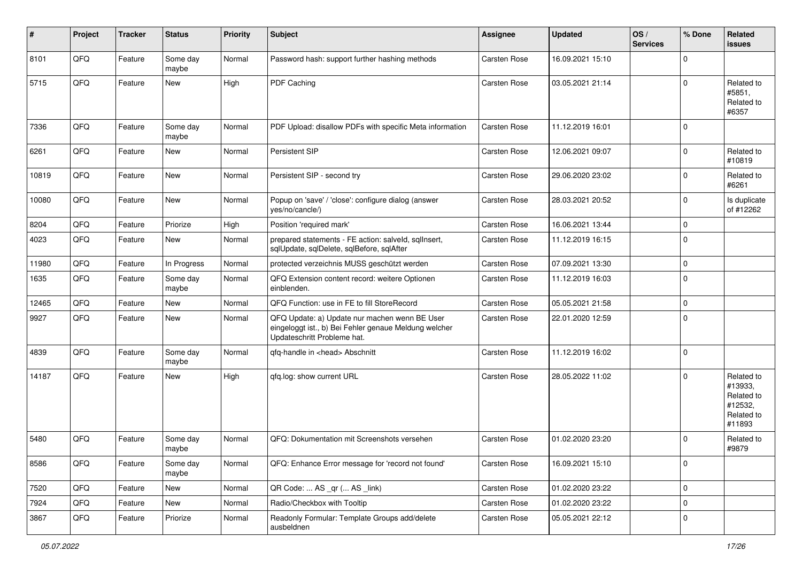| $\sharp$ | Project | <b>Tracker</b> | <b>Status</b>     | <b>Priority</b> | <b>Subject</b>                                                                                                                        | <b>Assignee</b>     | <b>Updated</b>   | OS/<br><b>Services</b> | % Done      | Related<br><b>issues</b>                                               |
|----------|---------|----------------|-------------------|-----------------|---------------------------------------------------------------------------------------------------------------------------------------|---------------------|------------------|------------------------|-------------|------------------------------------------------------------------------|
| 8101     | QFQ     | Feature        | Some day<br>maybe | Normal          | Password hash: support further hashing methods                                                                                        | Carsten Rose        | 16.09.2021 15:10 |                        | $\mathbf 0$ |                                                                        |
| 5715     | QFQ     | Feature        | New               | High            | PDF Caching                                                                                                                           | <b>Carsten Rose</b> | 03.05.2021 21:14 |                        | $\mathbf 0$ | Related to<br>#5851,<br>Related to<br>#6357                            |
| 7336     | QFQ     | Feature        | Some day<br>maybe | Normal          | PDF Upload: disallow PDFs with specific Meta information                                                                              | Carsten Rose        | 11.12.2019 16:01 |                        | $\mathbf 0$ |                                                                        |
| 6261     | QFQ     | Feature        | New               | Normal          | Persistent SIP                                                                                                                        | <b>Carsten Rose</b> | 12.06.2021 09:07 |                        | $\mathbf 0$ | Related to<br>#10819                                                   |
| 10819    | QFQ     | Feature        | New               | Normal          | Persistent SIP - second try                                                                                                           | <b>Carsten Rose</b> | 29.06.2020 23:02 |                        | $\Omega$    | Related to<br>#6261                                                    |
| 10080    | QFQ     | Feature        | New               | Normal          | Popup on 'save' / 'close': configure dialog (answer<br>yes/no/cancle/)                                                                | <b>Carsten Rose</b> | 28.03.2021 20:52 |                        | $\mathbf 0$ | Is duplicate<br>of #12262                                              |
| 8204     | QFQ     | Feature        | Priorize          | High            | Position 'required mark'                                                                                                              | Carsten Rose        | 16.06.2021 13:44 |                        | $\mathbf 0$ |                                                                        |
| 4023     | QFQ     | Feature        | New               | Normal          | prepared statements - FE action: salveld, sqllnsert,<br>sqlUpdate, sqlDelete, sqlBefore, sqlAfter                                     | Carsten Rose        | 11.12.2019 16:15 |                        | $\Omega$    |                                                                        |
| 11980    | QFQ     | Feature        | In Progress       | Normal          | protected verzeichnis MUSS geschützt werden                                                                                           | Carsten Rose        | 07.09.2021 13:30 |                        | $\mathbf 0$ |                                                                        |
| 1635     | QFQ     | Feature        | Some day<br>maybe | Normal          | QFQ Extension content record: weitere Optionen<br>einblenden.                                                                         | Carsten Rose        | 11.12.2019 16:03 |                        | $\mathbf 0$ |                                                                        |
| 12465    | QFQ     | Feature        | New               | Normal          | QFQ Function: use in FE to fill StoreRecord                                                                                           | <b>Carsten Rose</b> | 05.05.2021 21:58 |                        | $\mathbf 0$ |                                                                        |
| 9927     | QFQ     | Feature        | New               | Normal          | QFQ Update: a) Update nur machen wenn BE User<br>eingeloggt ist., b) Bei Fehler genaue Meldung welcher<br>Updateschritt Probleme hat. | Carsten Rose        | 22.01.2020 12:59 |                        | $\mathbf 0$ |                                                                        |
| 4839     | QFQ     | Feature        | Some day<br>maybe | Normal          | qfq-handle in <head> Abschnitt</head>                                                                                                 | Carsten Rose        | 11.12.2019 16:02 |                        | $\mathbf 0$ |                                                                        |
| 14187    | QFQ     | Feature        | <b>New</b>        | High            | qfq.log: show current URL                                                                                                             | <b>Carsten Rose</b> | 28.05.2022 11:02 |                        | $\mathbf 0$ | Related to<br>#13933,<br>Related to<br>#12532,<br>Related to<br>#11893 |
| 5480     | QFQ     | Feature        | Some day<br>maybe | Normal          | QFQ: Dokumentation mit Screenshots versehen                                                                                           | <b>Carsten Rose</b> | 01.02.2020 23:20 |                        | $\Omega$    | Related to<br>#9879                                                    |
| 8586     | QFQ     | Feature        | Some day<br>maybe | Normal          | QFQ: Enhance Error message for 'record not found'                                                                                     | Carsten Rose        | 16.09.2021 15:10 |                        | $\mathbf 0$ |                                                                        |
| 7520     | QFQ     | Feature        | New               | Normal          | QR Code:  AS _qr ( AS _link)                                                                                                          | Carsten Rose        | 01.02.2020 23:22 |                        | $\pmb{0}$   |                                                                        |
| 7924     | QFQ     | Feature        | New               | Normal          | Radio/Checkbox with Tooltip                                                                                                           | <b>Carsten Rose</b> | 01.02.2020 23:22 |                        | $\pmb{0}$   |                                                                        |
| 3867     | QFQ     | Feature        | Priorize          | Normal          | Readonly Formular: Template Groups add/delete<br>ausbeldnen                                                                           | Carsten Rose        | 05.05.2021 22:12 |                        | $\pmb{0}$   |                                                                        |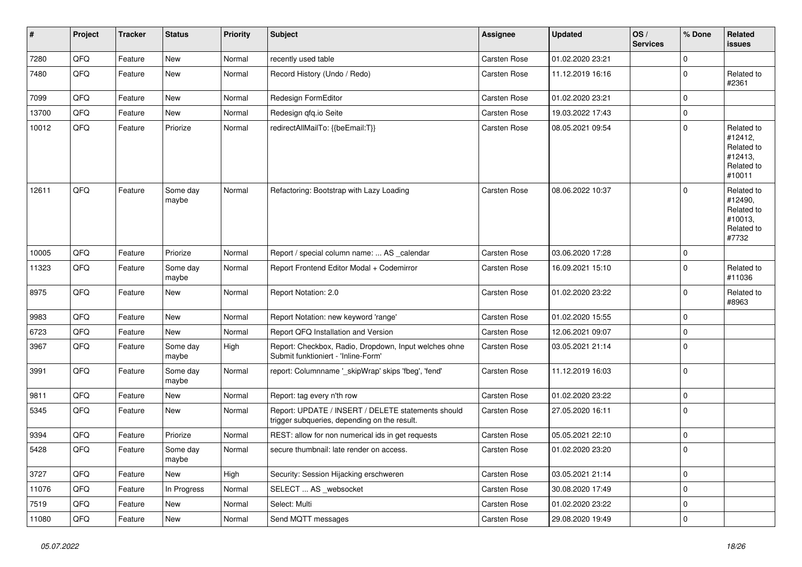| $\sharp$ | Project | <b>Tracker</b> | <b>Status</b>     | <b>Priority</b> | <b>Subject</b>                                                                                     | <b>Assignee</b>     | <b>Updated</b>   | OS/<br><b>Services</b> | % Done      | Related<br>issues                                                      |
|----------|---------|----------------|-------------------|-----------------|----------------------------------------------------------------------------------------------------|---------------------|------------------|------------------------|-------------|------------------------------------------------------------------------|
| 7280     | QFQ     | Feature        | New               | Normal          | recently used table                                                                                | Carsten Rose        | 01.02.2020 23:21 |                        | $\mathbf 0$ |                                                                        |
| 7480     | QFQ     | Feature        | <b>New</b>        | Normal          | Record History (Undo / Redo)                                                                       | <b>Carsten Rose</b> | 11.12.2019 16:16 |                        | 0           | Related to<br>#2361                                                    |
| 7099     | QFQ     | Feature        | <b>New</b>        | Normal          | Redesign FormEditor                                                                                | Carsten Rose        | 01.02.2020 23:21 |                        | $\mathbf 0$ |                                                                        |
| 13700    | QFQ     | Feature        | New               | Normal          | Redesign qfq.io Seite                                                                              | Carsten Rose        | 19.03.2022 17:43 |                        | 0           |                                                                        |
| 10012    | QFQ     | Feature        | Priorize          | Normal          | redirectAllMailTo: {{beEmail:T}}                                                                   | <b>Carsten Rose</b> | 08.05.2021 09:54 |                        | $\mathbf 0$ | Related to<br>#12412,<br>Related to<br>#12413,<br>Related to<br>#10011 |
| 12611    | QFQ     | Feature        | Some day<br>maybe | Normal          | Refactoring: Bootstrap with Lazy Loading                                                           | Carsten Rose        | 08.06.2022 10:37 |                        | $\mathbf 0$ | Related to<br>#12490,<br>Related to<br>#10013,<br>Related to<br>#7732  |
| 10005    | QFQ     | Feature        | Priorize          | Normal          | Report / special column name:  AS _calendar                                                        | Carsten Rose        | 03.06.2020 17:28 |                        | 0           |                                                                        |
| 11323    | QFQ     | Feature        | Some day<br>maybe | Normal          | Report Frontend Editor Modal + Codemirror                                                          | Carsten Rose        | 16.09.2021 15:10 |                        | 0           | Related to<br>#11036                                                   |
| 8975     | QFQ     | Feature        | <b>New</b>        | Normal          | Report Notation: 2.0                                                                               | <b>Carsten Rose</b> | 01.02.2020 23:22 |                        | $\mathbf 0$ | Related to<br>#8963                                                    |
| 9983     | QFQ     | Feature        | <b>New</b>        | Normal          | Report Notation: new keyword 'range'                                                               | Carsten Rose        | 01.02.2020 15:55 |                        | $\mathbf 0$ |                                                                        |
| 6723     | QFQ     | Feature        | New               | Normal          | Report QFQ Installation and Version                                                                | <b>Carsten Rose</b> | 12.06.2021 09:07 |                        | $\mathbf 0$ |                                                                        |
| 3967     | QFQ     | Feature        | Some day<br>maybe | High            | Report: Checkbox, Radio, Dropdown, Input welches ohne<br>Submit funktioniert - 'Inline-Form'       | Carsten Rose        | 03.05.2021 21:14 |                        | $\mathbf 0$ |                                                                        |
| 3991     | QFQ     | Feature        | Some day<br>maybe | Normal          | report: Columnname '_skipWrap' skips 'fbeg', 'fend'                                                | Carsten Rose        | 11.12.2019 16:03 |                        | $\mathbf 0$ |                                                                        |
| 9811     | QFQ     | Feature        | <b>New</b>        | Normal          | Report: tag every n'th row                                                                         | Carsten Rose        | 01.02.2020 23:22 |                        | $\mathbf 0$ |                                                                        |
| 5345     | QFQ     | Feature        | New               | Normal          | Report: UPDATE / INSERT / DELETE statements should<br>trigger subqueries, depending on the result. | Carsten Rose        | 27.05.2020 16:11 |                        | $\mathbf 0$ |                                                                        |
| 9394     | QFQ     | Feature        | Priorize          | Normal          | REST: allow for non numerical ids in get requests                                                  | <b>Carsten Rose</b> | 05.05.2021 22:10 |                        | $\mathbf 0$ |                                                                        |
| 5428     | QFQ     | Feature        | Some day<br>maybe | Normal          | secure thumbnail: late render on access.                                                           | Carsten Rose        | 01.02.2020 23:20 |                        | $\mathbf 0$ |                                                                        |
| 3727     | QFQ     | Feature        | New               | High            | Security: Session Hijacking erschweren                                                             | Carsten Rose        | 03.05.2021 21:14 |                        | $\mathbf 0$ |                                                                        |
| 11076    | QFQ     | Feature        | In Progress       | Normal          | SELECT  AS _websocket                                                                              | Carsten Rose        | 30.08.2020 17:49 |                        | $\pmb{0}$   |                                                                        |
| 7519     | QFQ     | Feature        | New               | Normal          | Select: Multi                                                                                      | Carsten Rose        | 01.02.2020 23:22 |                        | $\mathbf 0$ |                                                                        |
| 11080    | QFQ     | Feature        | New               | Normal          | Send MQTT messages                                                                                 | Carsten Rose        | 29.08.2020 19:49 |                        | $\mathbf 0$ |                                                                        |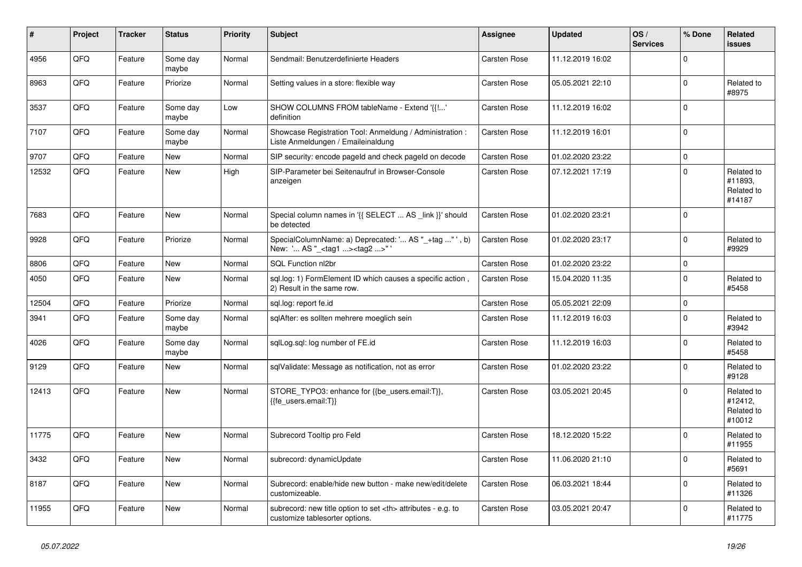| ∦     | Project | <b>Tracker</b> | <b>Status</b>     | <b>Priority</b> | <b>Subject</b>                                                                                       | Assignee                                               | <b>Updated</b>      | OS/<br><b>Services</b> | % Done      | Related<br>issues                             |                      |
|-------|---------|----------------|-------------------|-----------------|------------------------------------------------------------------------------------------------------|--------------------------------------------------------|---------------------|------------------------|-------------|-----------------------------------------------|----------------------|
| 4956  | QFQ     | Feature        | Some day<br>maybe | Normal          | Sendmail: Benutzerdefinierte Headers                                                                 | <b>Carsten Rose</b>                                    | 11.12.2019 16:02    |                        | $\Omega$    |                                               |                      |
| 8963  | QFQ     | Feature        | Priorize          | Normal          | Setting values in a store: flexible way                                                              | <b>Carsten Rose</b>                                    | 05.05.2021 22:10    |                        | $\mathbf 0$ | Related to<br>#8975                           |                      |
| 3537  | QFQ     | Feature        | Some day<br>maybe | Low             | SHOW COLUMNS FROM tableName - Extend '{{!'<br>definition                                             | Carsten Rose                                           | 11.12.2019 16:02    |                        | $\Omega$    |                                               |                      |
| 7107  | QFQ     | Feature        | Some day<br>maybe | Normal          | Showcase Registration Tool: Anmeldung / Administration :<br>Liste Anmeldungen / Emaileinaldung       | <b>Carsten Rose</b>                                    | 11.12.2019 16:01    |                        | $\Omega$    |                                               |                      |
| 9707  | QFQ     | Feature        | New               | Normal          | SIP security: encode pageld and check pageld on decode                                               | Carsten Rose                                           | 01.02.2020 23:22    |                        | $\mathbf 0$ |                                               |                      |
| 12532 | QFQ     | Feature        | New               | High            | SIP-Parameter bei Seitenaufruf in Browser-Console<br>anzeigen                                        | <b>Carsten Rose</b>                                    | 07.12.2021 17:19    |                        | $\Omega$    | Related to<br>#11893,<br>Related to<br>#14187 |                      |
| 7683  | QFQ     | Feature        | <b>New</b>        | Normal          | Special column names in '{{ SELECT  AS _link }}' should<br>be detected                               | Carsten Rose                                           | 01.02.2020 23:21    |                        | $\mathbf 0$ |                                               |                      |
| 9928  | QFQ     | Feature        | Priorize          | Normal          | SpecialColumnName: a) Deprecated: ' AS "_+tag " ', b)<br>New: ' AS "_ <tag1><tag2>"</tag2></tag1>    | <b>Carsten Rose</b>                                    | 01.02.2020 23:17    |                        | $\Omega$    | Related to<br>#9929                           |                      |
| 8806  | QFQ     | Feature        | <b>New</b>        | Normal          | SQL Function nl2br                                                                                   | <b>Carsten Rose</b>                                    | 01.02.2020 23:22    |                        | $\Omega$    |                                               |                      |
| 4050  | QFQ     | Feature        | <b>New</b>        | Normal          | sql.log: 1) FormElement ID which causes a specific action,<br>2) Result in the same row.             | <b>Carsten Rose</b>                                    | 15.04.2020 11:35    |                        | $\Omega$    | Related to<br>#5458                           |                      |
| 12504 | QFQ     | Feature        | Priorize          | Normal          | sql.log: report fe.id                                                                                | Carsten Rose                                           | 05.05.2021 22:09    |                        | $\Omega$    |                                               |                      |
| 3941  | QFQ     | Feature        | Some day<br>maybe | Normal          | sqlAfter: es sollten mehrere moeglich sein                                                           | Carsten Rose                                           | 11.12.2019 16:03    |                        | $\Omega$    | Related to<br>#3942                           |                      |
| 4026  | QFQ     | Feature        | Some day<br>maybe | Normal          | sglLog.sgl: log number of FE.id                                                                      | <b>Carsten Rose</b>                                    | 11.12.2019 16:03    |                        | $\mathbf 0$ | Related to<br>#5458                           |                      |
| 9129  | QFQ     | Feature        | <b>New</b>        | Normal          | sqlValidate: Message as notification, not as error                                                   | Carsten Rose                                           | 01.02.2020 23:22    |                        | $\Omega$    | Related to<br>#9128                           |                      |
| 12413 | QFQ     | Feature        | <b>New</b>        | Normal          | STORE_TYPO3: enhance for {{be_users.email:T}},<br>{{fe users.email:T}}                               | Carsten Rose                                           | 03.05.2021 20:45    |                        | $\Omega$    | Related to<br>#12412,<br>Related to<br>#10012 |                      |
| 11775 | QFQ     | Feature        | <b>New</b>        | Normal          | Subrecord Tooltip pro Feld                                                                           | <b>Carsten Rose</b>                                    | 18.12.2020 15:22    |                        | $\Omega$    | Related to<br>#11955                          |                      |
| 3432  | QFQ     | Feature        | <b>New</b>        | Normal          | subrecord: dynamicUpdate                                                                             | <b>Carsten Rose</b>                                    | 11.06.2020 21:10    |                        | $\Omega$    | Related to<br>#5691                           |                      |
| 8187  | QFQ     | Feature        | <b>New</b>        | Normal          | Subrecord: enable/hide new button - make new/edit/delete<br>customizeable.                           | Carsten Rose                                           | 06.03.2021 18:44    |                        | $\Omega$    | Related to<br>#11326                          |                      |
| 11955 | QFQ     | Feature        | <b>New</b>        | Normal          | subrecord: new title option to set <th> attributes - e.g. to<br/>customize tablesorter options.</th> | attributes - e.g. to<br>customize tablesorter options. | <b>Carsten Rose</b> | 03.05.2021 20:47       |             | $\Omega$                                      | Related to<br>#11775 |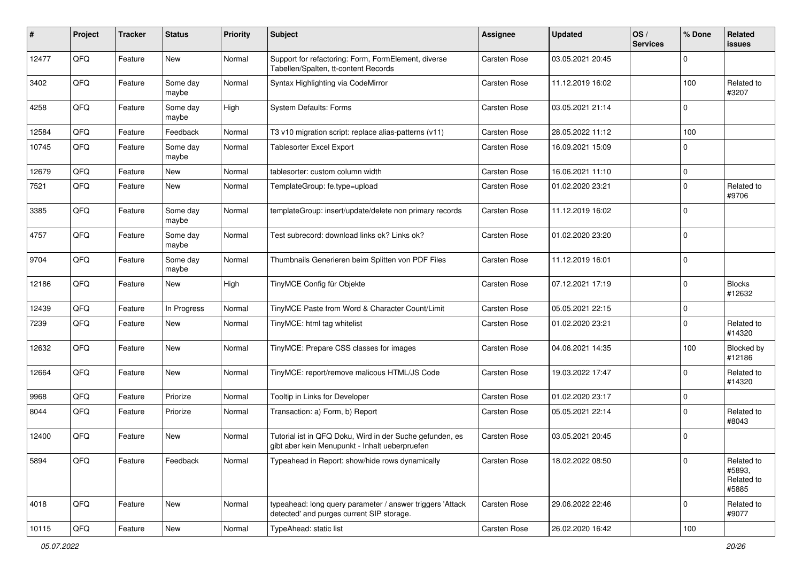| #     | Project | <b>Tracker</b> | <b>Status</b>     | <b>Priority</b> | <b>Subject</b>                                                                                             | <b>Assignee</b>     | <b>Updated</b>   | OS/<br><b>Services</b> | % Done      | Related<br><b>issues</b>                    |
|-------|---------|----------------|-------------------|-----------------|------------------------------------------------------------------------------------------------------------|---------------------|------------------|------------------------|-------------|---------------------------------------------|
| 12477 | QFQ     | Feature        | <b>New</b>        | Normal          | Support for refactoring: Form, FormElement, diverse<br>Tabellen/Spalten, tt-content Records                | <b>Carsten Rose</b> | 03.05.2021 20:45 |                        | $\mathbf 0$ |                                             |
| 3402  | QFQ     | Feature        | Some day<br>maybe | Normal          | Syntax Highlighting via CodeMirror                                                                         | <b>Carsten Rose</b> | 11.12.2019 16:02 |                        | 100         | Related to<br>#3207                         |
| 4258  | QFQ     | Feature        | Some day<br>maybe | High            | System Defaults: Forms                                                                                     | Carsten Rose        | 03.05.2021 21:14 |                        | $\mathbf 0$ |                                             |
| 12584 | QFQ     | Feature        | Feedback          | Normal          | T3 v10 migration script: replace alias-patterns (v11)                                                      | <b>Carsten Rose</b> | 28.05.2022 11:12 |                        | 100         |                                             |
| 10745 | QFQ     | Feature        | Some day<br>maybe | Normal          | <b>Tablesorter Excel Export</b>                                                                            | Carsten Rose        | 16.09.2021 15:09 |                        | $\mathbf 0$ |                                             |
| 12679 | QFQ     | Feature        | New               | Normal          | tablesorter: custom column width                                                                           | <b>Carsten Rose</b> | 16.06.2021 11:10 |                        | $\mathsf 0$ |                                             |
| 7521  | QFQ     | Feature        | <b>New</b>        | Normal          | TemplateGroup: fe.type=upload                                                                              | <b>Carsten Rose</b> | 01.02.2020 23:21 |                        | $\mathbf 0$ | Related to<br>#9706                         |
| 3385  | QFQ     | Feature        | Some day<br>maybe | Normal          | templateGroup: insert/update/delete non primary records                                                    | <b>Carsten Rose</b> | 11.12.2019 16:02 |                        | $\mathbf 0$ |                                             |
| 4757  | QFQ     | Feature        | Some day<br>maybe | Normal          | Test subrecord: download links ok? Links ok?                                                               | Carsten Rose        | 01.02.2020 23:20 |                        | $\mathbf 0$ |                                             |
| 9704  | QFQ     | Feature        | Some day<br>maybe | Normal          | Thumbnails Generieren beim Splitten von PDF Files                                                          | Carsten Rose        | 11.12.2019 16:01 |                        | $\mathbf 0$ |                                             |
| 12186 | QFQ     | Feature        | <b>New</b>        | High            | TinyMCE Config für Objekte                                                                                 | Carsten Rose        | 07.12.2021 17:19 |                        | $\mathbf 0$ | <b>Blocks</b><br>#12632                     |
| 12439 | QFQ     | Feature        | In Progress       | Normal          | TinyMCE Paste from Word & Character Count/Limit                                                            | <b>Carsten Rose</b> | 05.05.2021 22:15 |                        | $\mathsf 0$ |                                             |
| 7239  | QFQ     | Feature        | <b>New</b>        | Normal          | TinyMCE: html tag whitelist                                                                                | <b>Carsten Rose</b> | 01.02.2020 23:21 |                        | $\mathbf 0$ | Related to<br>#14320                        |
| 12632 | QFQ     | Feature        | <b>New</b>        | Normal          | TinyMCE: Prepare CSS classes for images                                                                    | <b>Carsten Rose</b> | 04.06.2021 14:35 |                        | 100         | Blocked by<br>#12186                        |
| 12664 | QFQ     | Feature        | <b>New</b>        | Normal          | TinyMCE: report/remove malicous HTML/JS Code                                                               | Carsten Rose        | 19.03.2022 17:47 |                        | $\mathbf 0$ | Related to<br>#14320                        |
| 9968  | QFQ     | Feature        | Priorize          | Normal          | Tooltip in Links for Developer                                                                             | <b>Carsten Rose</b> | 01.02.2020 23:17 |                        | $\pmb{0}$   |                                             |
| 8044  | QFQ     | Feature        | Priorize          | Normal          | Transaction: a) Form, b) Report                                                                            | Carsten Rose        | 05.05.2021 22:14 |                        | $\mathbf 0$ | Related to<br>#8043                         |
| 12400 | QFQ     | Feature        | <b>New</b>        | Normal          | Tutorial ist in QFQ Doku, Wird in der Suche gefunden, es<br>gibt aber kein Menupunkt - Inhalt ueberpruefen | <b>Carsten Rose</b> | 03.05.2021 20:45 |                        | $\mathbf 0$ |                                             |
| 5894  | QFO     | Feature        | Feedback          | Normal          | Typeahead in Report: show/hide rows dynamically                                                            | Carsten Rose        | 18.02.2022 08:50 |                        | $\mathbf 0$ | Related to<br>#5893,<br>Related to<br>#5885 |
| 4018  | QFQ     | Feature        | New               | Normal          | typeahead: long query parameter / answer triggers 'Attack<br>detected' and purges current SIP storage.     | Carsten Rose        | 29.06.2022 22:46 |                        | $\mathbf 0$ | Related to<br>#9077                         |
| 10115 | QFQ     | Feature        | New               | Normal          | TypeAhead: static list                                                                                     | Carsten Rose        | 26.02.2020 16:42 |                        | 100         |                                             |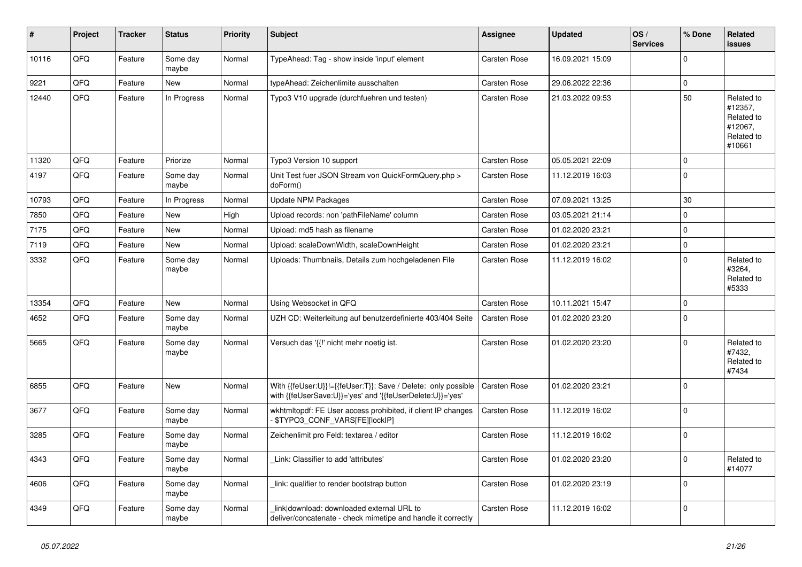| ∦     | Project | <b>Tracker</b> | <b>Status</b>     | <b>Priority</b> | <b>Subject</b>                                                                                                             | Assignee            | <b>Updated</b>   | OS/<br><b>Services</b> | % Done      | <b>Related</b><br><b>issues</b>                                        |
|-------|---------|----------------|-------------------|-----------------|----------------------------------------------------------------------------------------------------------------------------|---------------------|------------------|------------------------|-------------|------------------------------------------------------------------------|
| 10116 | QFQ     | Feature        | Some day<br>maybe | Normal          | TypeAhead: Tag - show inside 'input' element                                                                               | <b>Carsten Rose</b> | 16.09.2021 15:09 |                        | $\Omega$    |                                                                        |
| 9221  | QFQ     | Feature        | <b>New</b>        | Normal          | typeAhead: Zeichenlimite ausschalten                                                                                       | <b>Carsten Rose</b> | 29.06.2022 22:36 |                        | $\mathsf 0$ |                                                                        |
| 12440 | QFQ     | Feature        | In Progress       | Normal          | Typo3 V10 upgrade (durchfuehren und testen)                                                                                | Carsten Rose        | 21.03.2022 09:53 |                        | 50          | Related to<br>#12357,<br>Related to<br>#12067,<br>Related to<br>#10661 |
| 11320 | QFQ     | Feature        | Priorize          | Normal          | Typo3 Version 10 support                                                                                                   | Carsten Rose        | 05.05.2021 22:09 |                        | $\mathbf 0$ |                                                                        |
| 4197  | QFO     | Feature        | Some day<br>maybe | Normal          | Unit Test fuer JSON Stream von QuickFormQuery.php ><br>doForm()                                                            | Carsten Rose        | 11.12.2019 16:03 |                        | $\mathbf 0$ |                                                                        |
| 10793 | QFQ     | Feature        | In Progress       | Normal          | Update NPM Packages                                                                                                        | Carsten Rose        | 07.09.2021 13:25 |                        | 30          |                                                                        |
| 7850  | QFQ     | Feature        | New               | High            | Upload records: non 'pathFileName' column                                                                                  | Carsten Rose        | 03.05.2021 21:14 |                        | $\mathbf 0$ |                                                                        |
| 7175  | QFQ     | Feature        | <b>New</b>        | Normal          | Upload: md5 hash as filename                                                                                               | <b>Carsten Rose</b> | 01.02.2020 23:21 |                        | $\mathsf 0$ |                                                                        |
| 7119  | QFQ     | Feature        | <b>New</b>        | Normal          | Upload: scaleDownWidth, scaleDownHeight                                                                                    | Carsten Rose        | 01.02.2020 23:21 |                        | $\mathsf 0$ |                                                                        |
| 3332  | QFQ     | Feature        | Some day<br>maybe | Normal          | Uploads: Thumbnails, Details zum hochgeladenen File                                                                        | Carsten Rose        | 11.12.2019 16:02 |                        | $\mathbf 0$ | Related to<br>#3264,<br>Related to<br>#5333                            |
| 13354 | QFQ     | Feature        | <b>New</b>        | Normal          | Using Websocket in QFQ                                                                                                     | <b>Carsten Rose</b> | 10.11.2021 15:47 |                        | $\mathbf 0$ |                                                                        |
| 4652  | QFQ     | Feature        | Some day<br>maybe | Normal          | UZH CD: Weiterleitung auf benutzerdefinierte 403/404 Seite                                                                 | Carsten Rose        | 01.02.2020 23:20 |                        | $\mathbf 0$ |                                                                        |
| 5665  | QFQ     | Feature        | Some day<br>maybe | Normal          | Versuch das '{{!' nicht mehr noetig ist.                                                                                   | Carsten Rose        | 01.02.2020 23:20 |                        | $\mathbf 0$ | Related to<br>#7432,<br>Related to<br>#7434                            |
| 6855  | QFQ     | Feature        | <b>New</b>        | Normal          | With {{feUser:U}}!={{feUser:T}}: Save / Delete: only possible<br>with {{feUserSave:U}}='yes' and '{{feUserDelete:U}}='yes' | Carsten Rose        | 01.02.2020 23:21 |                        | $\mathbf 0$ |                                                                        |
| 3677  | QFQ     | Feature        | Some day<br>maybe | Normal          | wkhtmltopdf: FE User access prohibited, if client IP changes<br>\$TYPO3_CONF_VARS[FE][lockIP]                              | Carsten Rose        | 11.12.2019 16:02 |                        | $\mathsf 0$ |                                                                        |
| 3285  | QFQ     | Feature        | Some day<br>maybe | Normal          | Zeichenlimit pro Feld: textarea / editor                                                                                   | Carsten Rose        | 11.12.2019 16:02 |                        | $\mathbf 0$ |                                                                        |
| 4343  | QFQ     | Feature        | Some day<br>maybe | Normal          | Link: Classifier to add 'attributes'                                                                                       | Carsten Rose        | 01.02.2020 23:20 |                        | $\mathbf 0$ | Related to<br>#14077                                                   |
| 4606  | QFQ     | Feature        | Some day<br>maybe | Normal          | link: qualifier to render bootstrap button                                                                                 | Carsten Rose        | 01.02.2020 23:19 |                        | $\Omega$    |                                                                        |
| 4349  | QFQ     | Feature        | Some day<br>maybe | Normal          | link download: downloaded external URL to<br>deliver/concatenate - check mimetipe and handle it correctly                  | <b>Carsten Rose</b> | 11.12.2019 16:02 |                        | $\mathbf 0$ |                                                                        |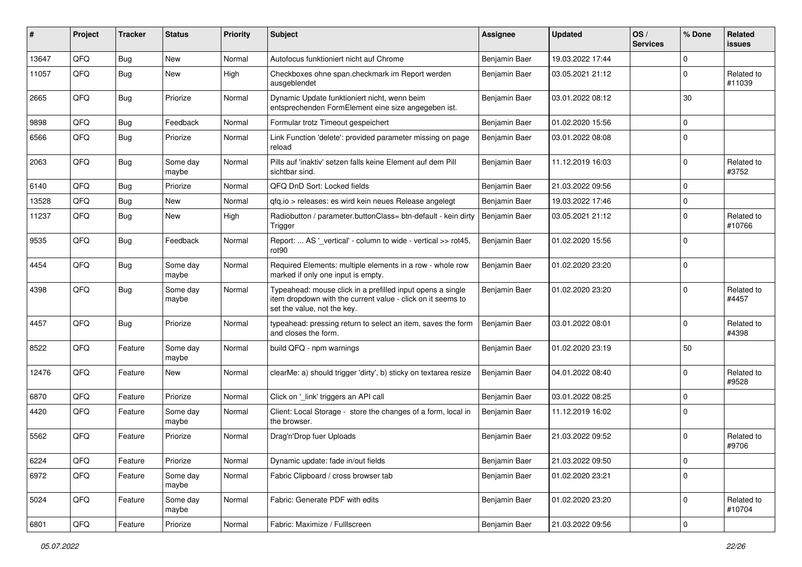| #     | Project | <b>Tracker</b> | <b>Status</b>     | <b>Priority</b> | <b>Subject</b>                                                                                                                                           | <b>Assignee</b> | <b>Updated</b>   | OS/<br><b>Services</b> | % Done      | Related<br><b>issues</b> |
|-------|---------|----------------|-------------------|-----------------|----------------------------------------------------------------------------------------------------------------------------------------------------------|-----------------|------------------|------------------------|-------------|--------------------------|
| 13647 | QFQ     | Bug            | <b>New</b>        | Normal          | Autofocus funktioniert nicht auf Chrome                                                                                                                  | Benjamin Baer   | 19.03.2022 17:44 |                        | $\mathbf 0$ |                          |
| 11057 | QFQ     | <b>Bug</b>     | New               | High            | Checkboxes ohne span.checkmark im Report werden<br>ausgeblendet                                                                                          | Benjamin Baer   | 03.05.2021 21:12 |                        | $\mathbf 0$ | Related to<br>#11039     |
| 2665  | QFQ     | Bug            | Priorize          | Normal          | Dynamic Update funktioniert nicht, wenn beim<br>entsprechenden FormElement eine size angegeben ist.                                                      | Benjamin Baer   | 03.01.2022 08:12 |                        | 30          |                          |
| 9898  | QFQ     | <b>Bug</b>     | Feedback          | Normal          | Formular trotz Timeout gespeichert                                                                                                                       | Benjamin Baer   | 01.02.2020 15:56 |                        | $\pmb{0}$   |                          |
| 6566  | QFQ     | Bug            | Priorize          | Normal          | Link Function 'delete': provided parameter missing on page<br>reload                                                                                     | Benjamin Baer   | 03.01.2022 08:08 |                        | $\mathbf 0$ |                          |
| 2063  | QFQ     | <b>Bug</b>     | Some day<br>maybe | Normal          | Pills auf 'inaktiv' setzen falls keine Element auf dem Pill<br>sichtbar sind.                                                                            | Benjamin Baer   | 11.12.2019 16:03 |                        | $\mathbf 0$ | Related to<br>#3752      |
| 6140  | QFQ     | <b>Bug</b>     | Priorize          | Normal          | QFQ DnD Sort: Locked fields                                                                                                                              | Benjamin Baer   | 21.03.2022 09:56 |                        | $\mathbf 0$ |                          |
| 13528 | QFQ     | <b>Bug</b>     | <b>New</b>        | Normal          | qfq.io > releases: es wird kein neues Release angelegt                                                                                                   | Benjamin Baer   | 19.03.2022 17:46 |                        | $\mathsf 0$ |                          |
| 11237 | QFQ     | <b>Bug</b>     | New               | High            | Radiobutton / parameter.buttonClass= btn-default - kein dirty<br>Trigger                                                                                 | Benjamin Baer   | 03.05.2021 21:12 |                        | $\mathbf 0$ | Related to<br>#10766     |
| 9535  | QFQ     | Bug            | Feedback          | Normal          | Report:  AS '_vertical' - column to wide - vertical >> rot45,<br>rot <sub>90</sub>                                                                       | Benjamin Baer   | 01.02.2020 15:56 |                        | $\mathbf 0$ |                          |
| 4454  | QFQ     | <b>Bug</b>     | Some day<br>maybe | Normal          | Required Elements: multiple elements in a row - whole row<br>marked if only one input is empty.                                                          | Benjamin Baer   | 01.02.2020 23:20 |                        | $\mathbf 0$ |                          |
| 4398  | QFQ     | Bug            | Some day<br>maybe | Normal          | Typeahead: mouse click in a prefilled input opens a single<br>item dropdown with the current value - click on it seems to<br>set the value, not the key. | Benjamin Baer   | 01.02.2020 23:20 |                        | $\mathbf 0$ | Related to<br>#4457      |
| 4457  | QFQ     | Bug            | Priorize          | Normal          | typeahead: pressing return to select an item, saves the form<br>and closes the form.                                                                     | Benjamin Baer   | 03.01.2022 08:01 |                        | $\mathbf 0$ | Related to<br>#4398      |
| 8522  | QFQ     | Feature        | Some day<br>maybe | Normal          | build QFQ - npm warnings                                                                                                                                 | Benjamin Baer   | 01.02.2020 23:19 |                        | 50          |                          |
| 12476 | QFQ     | Feature        | <b>New</b>        | Normal          | clearMe: a) should trigger 'dirty', b) sticky on textarea resize                                                                                         | Benjamin Baer   | 04.01.2022 08:40 |                        | $\mathbf 0$ | Related to<br>#9528      |
| 6870  | QFQ     | Feature        | Priorize          | Normal          | Click on '_link' triggers an API call                                                                                                                    | Benjamin Baer   | 03.01.2022 08:25 |                        | $\pmb{0}$   |                          |
| 4420  | QFQ     | Feature        | Some day<br>maybe | Normal          | Client: Local Storage - store the changes of a form, local in<br>the browser.                                                                            | Benjamin Baer   | 11.12.2019 16:02 |                        | $\mathbf 0$ |                          |
| 5562  | QFQ     | Feature        | Priorize          | Normal          | Drag'n'Drop fuer Uploads                                                                                                                                 | Benjamin Baer   | 21.03.2022 09:52 |                        | 0           | Related to<br>#9706      |
| 6224  | QFQ     | Feature        | Priorize          | Normal          | Dynamic update: fade in/out fields                                                                                                                       | Benjamin Baer   | 21.03.2022 09:50 |                        | $\pmb{0}$   |                          |
| 6972  | QFQ     | Feature        | Some day<br>maybe | Normal          | Fabric Clipboard / cross browser tab                                                                                                                     | Benjamin Baer   | 01.02.2020 23:21 |                        | $\pmb{0}$   |                          |
| 5024  | QFQ     | Feature        | Some day<br>maybe | Normal          | Fabric: Generate PDF with edits                                                                                                                          | Benjamin Baer   | 01.02.2020 23:20 |                        | $\mathbf 0$ | Related to<br>#10704     |
| 6801  | QFG     | Feature        | Priorize          | Normal          | Fabric: Maximize / Fulllscreen                                                                                                                           | Benjamin Baer   | 21.03.2022 09:56 |                        | $\pmb{0}$   |                          |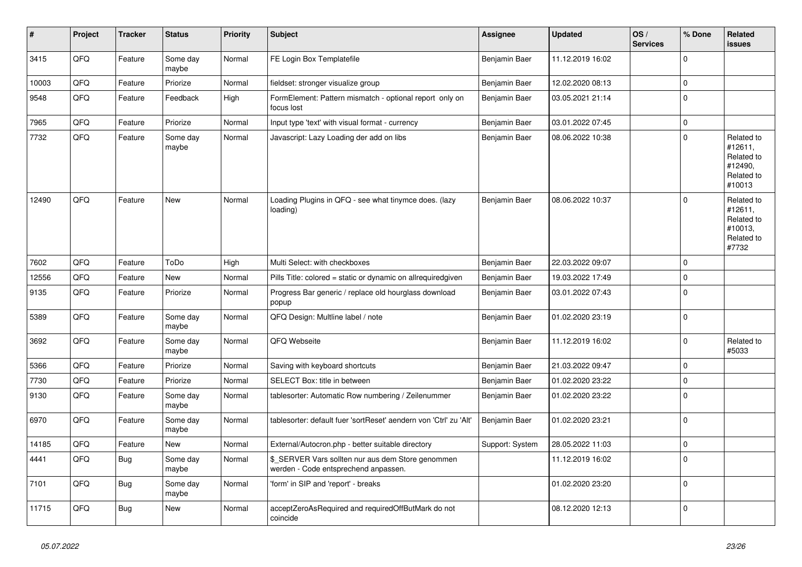| $\vert$ # | <b>Project</b> | <b>Tracker</b> | <b>Status</b>     | <b>Priority</b> | <b>Subject</b>                                                                            | Assignee        | <b>Updated</b>   | OS/<br><b>Services</b> | % Done      | Related<br><b>issues</b>                                               |
|-----------|----------------|----------------|-------------------|-----------------|-------------------------------------------------------------------------------------------|-----------------|------------------|------------------------|-------------|------------------------------------------------------------------------|
| 3415      | QFQ            | Feature        | Some day<br>maybe | Normal          | FE Login Box Templatefile                                                                 | Benjamin Baer   | 11.12.2019 16:02 |                        | $\mathbf 0$ |                                                                        |
| 10003     | QFQ            | Feature        | Priorize          | Normal          | fieldset: stronger visualize group                                                        | Benjamin Baer   | 12.02.2020 08:13 |                        | $\mathbf 0$ |                                                                        |
| 9548      | QFQ            | Feature        | Feedback          | High            | FormElement: Pattern mismatch - optional report only on<br>focus lost                     | Benjamin Baer   | 03.05.2021 21:14 |                        | $\mathbf 0$ |                                                                        |
| 7965      | QFQ            | Feature        | Priorize          | Normal          | Input type 'text' with visual format - currency                                           | Benjamin Baer   | 03.01.2022 07:45 |                        | $\pmb{0}$   |                                                                        |
| 7732      | QFQ            | Feature        | Some day<br>maybe | Normal          | Javascript: Lazy Loading der add on libs                                                  | Benjamin Baer   | 08.06.2022 10:38 |                        | $\Omega$    | Related to<br>#12611,<br>Related to<br>#12490,<br>Related to<br>#10013 |
| 12490     | QFQ            | Feature        | <b>New</b>        | Normal          | Loading Plugins in QFQ - see what tinymce does. (lazy<br>loading)                         | Benjamin Baer   | 08.06.2022 10:37 |                        | $\Omega$    | Related to<br>#12611,<br>Related to<br>#10013,<br>Related to<br>#7732  |
| 7602      | QFQ            | Feature        | ToDo              | High            | Multi Select: with checkboxes                                                             | Benjamin Baer   | 22.03.2022 09:07 |                        | $\mathbf 0$ |                                                                        |
| 12556     | QFQ            | Feature        | <b>New</b>        | Normal          | Pills Title: colored = static or dynamic on allrequiredgiven                              | Benjamin Baer   | 19.03.2022 17:49 |                        | $\mathbf 0$ |                                                                        |
| 9135      | QFQ            | Feature        | Priorize          | Normal          | Progress Bar generic / replace old hourglass download<br>popup                            | Benjamin Baer   | 03.01.2022 07:43 |                        | $\mathbf 0$ |                                                                        |
| 5389      | QFQ            | Feature        | Some day<br>maybe | Normal          | QFQ Design: Multline label / note                                                         | Benjamin Baer   | 01.02.2020 23:19 |                        | $\pmb{0}$   |                                                                        |
| 3692      | QFQ            | Feature        | Some day<br>maybe | Normal          | QFQ Webseite                                                                              | Benjamin Baer   | 11.12.2019 16:02 |                        | $\mathbf 0$ | Related to<br>#5033                                                    |
| 5366      | QFQ            | Feature        | Priorize          | Normal          | Saving with keyboard shortcuts                                                            | Benjamin Baer   | 21.03.2022 09:47 |                        | $\mathbf 0$ |                                                                        |
| 7730      | QFQ            | Feature        | Priorize          | Normal          | SELECT Box: title in between                                                              | Benjamin Baer   | 01.02.2020 23:22 |                        | $\mathbf 0$ |                                                                        |
| 9130      | QFQ            | Feature        | Some day<br>maybe | Normal          | tablesorter: Automatic Row numbering / Zeilenummer                                        | Benjamin Baer   | 01.02.2020 23:22 |                        | $\pmb{0}$   |                                                                        |
| 6970      | QFQ            | Feature        | Some day<br>maybe | Normal          | tablesorter: default fuer 'sortReset' aendern von 'Ctrl' zu 'Alt'                         | Benjamin Baer   | 01.02.2020 23:21 |                        | $\Omega$    |                                                                        |
| 14185     | QFQ            | Feature        | <b>New</b>        | Normal          | External/Autocron.php - better suitable directory                                         | Support: System | 28.05.2022 11:03 |                        | $\mathbf 0$ |                                                                        |
| 4441      | QFQ            | <b>Bug</b>     | Some day<br>maybe | Normal          | \$ SERVER Vars sollten nur aus dem Store genommen<br>werden - Code entsprechend anpassen. |                 | 11.12.2019 16:02 |                        | $\mathbf 0$ |                                                                        |
| 7101      | QFQ            | <b>Bug</b>     | Some day<br>maybe | Normal          | 'form' in SIP and 'report' - breaks                                                       |                 | 01.02.2020 23:20 |                        | $\mathbf 0$ |                                                                        |
| 11715     | QFQ            | <b>Bug</b>     | New               | Normal          | acceptZeroAsRequired and requiredOffButMark do not<br>coincide                            |                 | 08.12.2020 12:13 |                        | $\mathbf 0$ |                                                                        |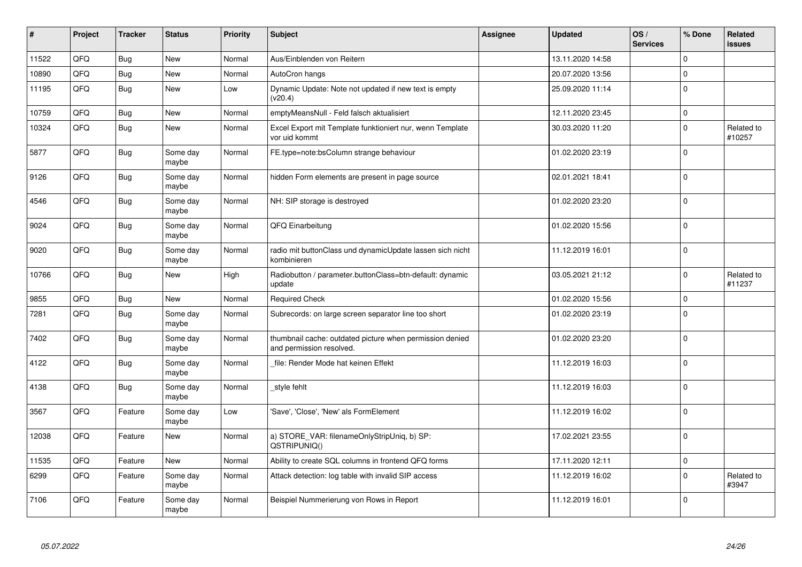| $\vert$ # | Project | <b>Tracker</b> | <b>Status</b>     | <b>Priority</b> | <b>Subject</b>                                                                       | <b>Assignee</b> | <b>Updated</b>   | OS/<br><b>Services</b> | % Done      | Related<br><b>issues</b> |
|-----------|---------|----------------|-------------------|-----------------|--------------------------------------------------------------------------------------|-----------------|------------------|------------------------|-------------|--------------------------|
| 11522     | QFQ     | <b>Bug</b>     | <b>New</b>        | Normal          | Aus/Einblenden von Reitern                                                           |                 | 13.11.2020 14:58 |                        | $\mathbf 0$ |                          |
| 10890     | QFQ     | Bug            | New               | Normal          | AutoCron hangs                                                                       |                 | 20.07.2020 13:56 |                        | $\mathbf 0$ |                          |
| 11195     | QFQ     | Bug            | New               | Low             | Dynamic Update: Note not updated if new text is empty<br>(v20.4)                     |                 | 25.09.2020 11:14 |                        | $\pmb{0}$   |                          |
| 10759     | QFQ     | <b>Bug</b>     | New               | Normal          | emptyMeansNull - Feld falsch aktualisiert                                            |                 | 12.11.2020 23:45 |                        | $\pmb{0}$   |                          |
| 10324     | QFQ     | Bug            | New               | Normal          | Excel Export mit Template funktioniert nur, wenn Template<br>vor uid kommt           |                 | 30.03.2020 11:20 |                        | $\pmb{0}$   | Related to<br>#10257     |
| 5877      | QFQ     | Bug            | Some day<br>maybe | Normal          | FE.type=note:bsColumn strange behaviour                                              |                 | 01.02.2020 23:19 |                        | $\pmb{0}$   |                          |
| 9126      | QFQ     | <b>Bug</b>     | Some day<br>maybe | Normal          | hidden Form elements are present in page source                                      |                 | 02.01.2021 18:41 |                        | $\mathbf 0$ |                          |
| 4546      | QFQ     | <b>Bug</b>     | Some day<br>maybe | Normal          | NH: SIP storage is destroyed                                                         |                 | 01.02.2020 23:20 |                        | $\mathbf 0$ |                          |
| 9024      | QFQ     | <b>Bug</b>     | Some day<br>maybe | Normal          | QFQ Einarbeitung                                                                     |                 | 01.02.2020 15:56 |                        | $\mathbf 0$ |                          |
| 9020      | QFQ     | <b>Bug</b>     | Some day<br>maybe | Normal          | radio mit buttonClass und dynamicUpdate lassen sich nicht<br>kombinieren             |                 | 11.12.2019 16:01 |                        | $\mathbf 0$ |                          |
| 10766     | QFQ     | <b>Bug</b>     | New               | High            | Radiobutton / parameter.buttonClass=btn-default: dynamic<br>update                   |                 | 03.05.2021 21:12 |                        | $\Omega$    | Related to<br>#11237     |
| 9855      | QFQ     | <b>Bug</b>     | New               | Normal          | <b>Required Check</b>                                                                |                 | 01.02.2020 15:56 |                        | $\pmb{0}$   |                          |
| 7281      | QFQ     | Bug            | Some day<br>maybe | Normal          | Subrecords: on large screen separator line too short                                 |                 | 01.02.2020 23:19 |                        | $\mathbf 0$ |                          |
| 7402      | QFQ     | Bug            | Some day<br>maybe | Normal          | thumbnail cache: outdated picture when permission denied<br>and permission resolved. |                 | 01.02.2020 23:20 |                        | $\mathbf 0$ |                          |
| 4122      | QFQ     | <b>Bug</b>     | Some day<br>maybe | Normal          | file: Render Mode hat keinen Effekt                                                  |                 | 11.12.2019 16:03 |                        | $\mathbf 0$ |                          |
| 4138      | QFQ     | <b>Bug</b>     | Some day<br>maybe | Normal          | style fehlt                                                                          |                 | 11.12.2019 16:03 |                        | $\pmb{0}$   |                          |
| 3567      | QFQ     | Feature        | Some day<br>maybe | Low             | 'Save', 'Close', 'New' als FormElement                                               |                 | 11.12.2019 16:02 |                        | $\mathbf 0$ |                          |
| 12038     | QFQ     | Feature        | New               | Normal          | a) STORE_VAR: filenameOnlyStripUniq, b) SP:<br>QSTRIPUNIQ()                          |                 | 17.02.2021 23:55 |                        | $\mathbf 0$ |                          |
| 11535     | QFQ     | Feature        | New               | Normal          | Ability to create SQL columns in frontend QFQ forms                                  |                 | 17.11.2020 12:11 |                        | $\pmb{0}$   |                          |
| 6299      | QFQ     | Feature        | Some day<br>maybe | Normal          | Attack detection: log table with invalid SIP access                                  |                 | 11.12.2019 16:02 |                        | $\mathbf 0$ | Related to<br>#3947      |
| 7106      | QFQ     | Feature        | Some day<br>maybe | Normal          | Beispiel Nummerierung von Rows in Report                                             |                 | 11.12.2019 16:01 |                        | $\mathbf 0$ |                          |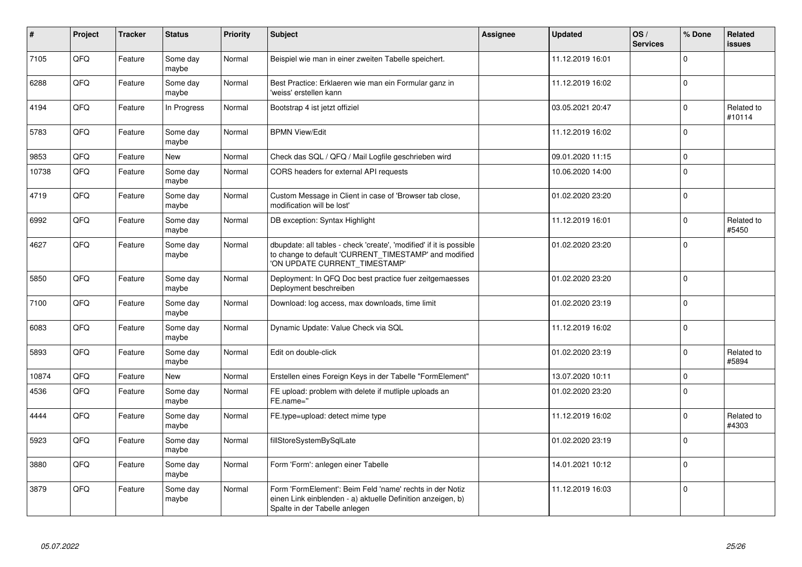| $\vert$ # | Project    | <b>Tracker</b> | <b>Status</b>     | <b>Priority</b> | <b>Subject</b>                                                                                                                                                | <b>Assignee</b> | <b>Updated</b>   | OS/<br><b>Services</b> | % Done      | Related<br><b>issues</b> |
|-----------|------------|----------------|-------------------|-----------------|---------------------------------------------------------------------------------------------------------------------------------------------------------------|-----------------|------------------|------------------------|-------------|--------------------------|
| 7105      | QFQ        | Feature        | Some day<br>maybe | Normal          | Beispiel wie man in einer zweiten Tabelle speichert.                                                                                                          |                 | 11.12.2019 16:01 |                        | $\Omega$    |                          |
| 6288      | QFQ        | Feature        | Some day<br>maybe | Normal          | Best Practice: Erklaeren wie man ein Formular ganz in<br>'weiss' erstellen kann                                                                               |                 | 11.12.2019 16:02 |                        | $\mathbf 0$ |                          |
| 4194      | QFQ        | Feature        | In Progress       | Normal          | Bootstrap 4 ist jetzt offiziel                                                                                                                                |                 | 03.05.2021 20:47 |                        | $\mathbf 0$ | Related to<br>#10114     |
| 5783      | QFQ        | Feature        | Some day<br>maybe | Normal          | <b>BPMN View/Edit</b>                                                                                                                                         |                 | 11.12.2019 16:02 |                        | $\mathbf 0$ |                          |
| 9853      | QFQ        | Feature        | <b>New</b>        | Normal          | Check das SQL / QFQ / Mail Logfile geschrieben wird                                                                                                           |                 | 09.01.2020 11:15 |                        | $\mathbf 0$ |                          |
| 10738     | QFQ        | Feature        | Some day<br>maybe | Normal          | CORS headers for external API requests                                                                                                                        |                 | 10.06.2020 14:00 |                        | $\mathsf 0$ |                          |
| 4719      | <b>OFO</b> | Feature        | Some day<br>maybe | Normal          | Custom Message in Client in case of 'Browser tab close,<br>modification will be lost'                                                                         |                 | 01.02.2020 23:20 |                        | $\Omega$    |                          |
| 6992      | QFQ        | Feature        | Some day<br>maybe | Normal          | DB exception: Syntax Highlight                                                                                                                                |                 | 11.12.2019 16:01 |                        | $\mathbf 0$ | Related to<br>#5450      |
| 4627      | QFQ        | Feature        | Some day<br>maybe | Normal          | dbupdate: all tables - check 'create', 'modified' if it is possible<br>to change to default 'CURRENT_TIMESTAMP' and modified<br>'ON UPDATE CURRENT_TIMESTAMP' |                 | 01.02.2020 23:20 |                        | $\mathbf 0$ |                          |
| 5850      | QFQ        | Feature        | Some day<br>maybe | Normal          | Deployment: In QFQ Doc best practice fuer zeitgemaesses<br>Deployment beschreiben                                                                             |                 | 01.02.2020 23:20 |                        | $\mathbf 0$ |                          |
| 7100      | QFQ        | Feature        | Some day<br>maybe | Normal          | Download: log access, max downloads, time limit                                                                                                               |                 | 01.02.2020 23:19 |                        | $\mathsf 0$ |                          |
| 6083      | QFQ        | Feature        | Some day<br>maybe | Normal          | Dynamic Update: Value Check via SQL                                                                                                                           |                 | 11.12.2019 16:02 |                        | $\mathsf 0$ |                          |
| 5893      | QFQ        | Feature        | Some day<br>maybe | Normal          | Edit on double-click                                                                                                                                          |                 | 01.02.2020 23:19 |                        | $\Omega$    | Related to<br>#5894      |
| 10874     | QFQ        | Feature        | <b>New</b>        | Normal          | Erstellen eines Foreign Keys in der Tabelle "FormElement"                                                                                                     |                 | 13.07.2020 10:11 |                        | $\mathbf 0$ |                          |
| 4536      | QFQ        | Feature        | Some day<br>maybe | Normal          | FE upload: problem with delete if mutliple uploads an<br>FE.name="                                                                                            |                 | 01.02.2020 23:20 |                        | $\mathbf 0$ |                          |
| 4444      | QFQ        | Feature        | Some day<br>maybe | Normal          | FE.type=upload: detect mime type                                                                                                                              |                 | 11.12.2019 16:02 |                        | $\Omega$    | Related to<br>#4303      |
| 5923      | QFQ        | Feature        | Some day<br>maybe | Normal          | fillStoreSystemBySqlLate                                                                                                                                      |                 | 01.02.2020 23:19 |                        | $\Omega$    |                          |
| 3880      | QFQ        | Feature        | Some day<br>maybe | Normal          | Form 'Form': anlegen einer Tabelle                                                                                                                            |                 | 14.01.2021 10:12 |                        | $\mathbf 0$ |                          |
| 3879      | QFQ        | Feature        | Some day<br>maybe | Normal          | Form 'FormElement': Beim Feld 'name' rechts in der Notiz<br>einen Link einblenden - a) aktuelle Definition anzeigen, b)<br>Spalte in der Tabelle anlegen      |                 | 11.12.2019 16:03 |                        | $\Omega$    |                          |